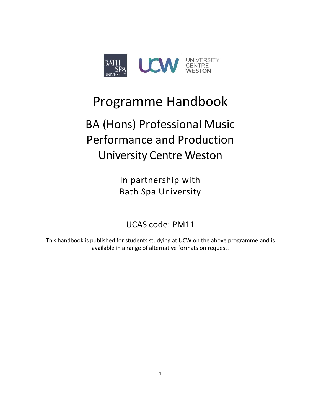

## Programme Handbook

# BA (Hons) Professional Music Performance and Production University Centre Weston

In partnership with Bath Spa University

UCAS code: PM11

This handbook is published for students studying at UCW on the above programme and is available in a range of alternative formats on request.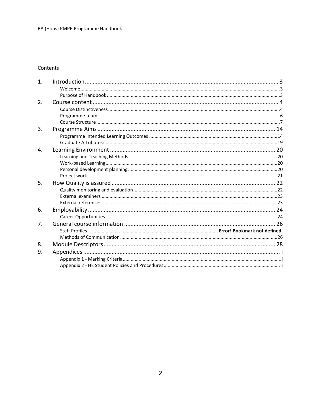#### Contents

| 1. |  |
|----|--|
|    |  |
|    |  |
| 2. |  |
|    |  |
|    |  |
|    |  |
| 3. |  |
|    |  |
|    |  |
| 4. |  |
|    |  |
|    |  |
|    |  |
|    |  |
| 5. |  |
|    |  |
|    |  |
|    |  |
| 6. |  |
|    |  |
| 7. |  |
|    |  |
|    |  |
| 8. |  |
| 9. |  |
|    |  |
|    |  |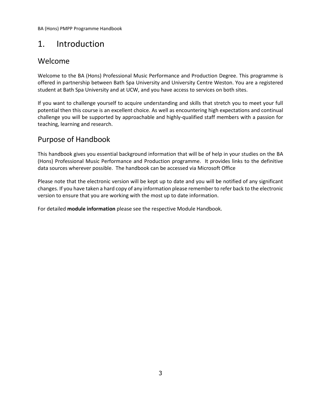### <span id="page-2-0"></span>1. Introduction

### <span id="page-2-1"></span>Welcome

Welcome to the BA (Hons) Professional Music Performance and Production Degree. This programme is offered in partnership between Bath Spa University and University Centre Weston. You are a registered student at Bath Spa University and at UCW, and you have access to services on both sites.

If you want to challenge yourself to acquire understanding and skills that stretch you to meet your full potential then this course is an excellent choice. As well as encountering high expectations and continual challenge you will be supported by approachable and highly-qualified staff members with a passion for teaching, learning and research.

### <span id="page-2-2"></span>Purpose of Handbook

This handbook gives you essential background information that will be of help in your studies on the BA (Hons) Professional Music Performance and Production programme. It provides links to the definitive data sources wherever possible. The handbook can be accessed via Microsoft Office

Please note that the electronic version will be kept up to date and you will be notified of any significant changes. If you have taken a hard copy of any information please remember to refer back to the electronic version to ensure that you are working with the most up to date information.

For detailed **module information** please see the respective Module Handbook.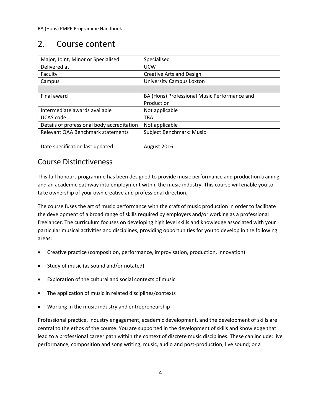### <span id="page-3-0"></span>2. Course content

| Major, Joint, Minor or Specialised         | Specialised                                  |
|--------------------------------------------|----------------------------------------------|
| Delivered at                               | <b>UCW</b>                                   |
| Faculty                                    | <b>Creative Arts and Design</b>              |
| Campus                                     | <b>University Campus Loxton</b>              |
|                                            |                                              |
| Final award                                | BA (Hons) Professional Music Performance and |
|                                            | Production                                   |
| Intermediate awards available              | Not applicable                               |
| UCAS code                                  | <b>TBA</b>                                   |
| Details of professional body accreditation | Not applicable                               |
| Relevant QAA Benchmark statements          | Subject Benchmark: Music                     |
|                                            |                                              |
| Date specification last updated            | August 2016                                  |

### <span id="page-3-1"></span>Course Distinctiveness

This full honours programme has been designed to provide music performance and production training and an academic pathway into employment within the music industry. This course will enable you to take ownership of your own creative and professional direction.

The course fuses the art of music performance with the craft of music production in order to facilitate the development of a broad range of skills required by employers and/or working as a professional freelancer. The curriculum focuses on developing high level skills and knowledge associated with your particular musical activities and disciplines, providing opportunities for you to develop in the following areas:

- Creative practice (composition, performance, improvisation, production, innovation)
- Study of music (as sound and/or notated)
- Exploration of the cultural and social contexts of music
- The application of music in related disciplines/contexts
- Working in the music industry and entrepreneurship

Professional practice, industry engagement, academic development, and the development of skills are central to the ethos of the course. You are supported in the development of skills and knowledge that lead to a professional career path within the context of discrete music disciplines. These can include: live performance; composition and song writing; music, audio and post-production; live sound; or a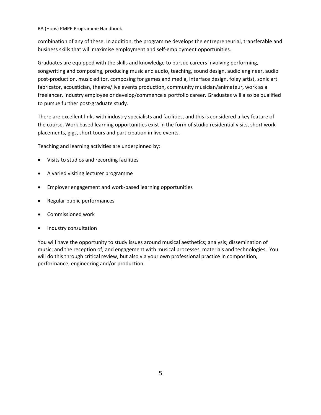combination of any of these. In addition, the programme develops the entrepreneurial, transferable and business skills that will maximise employment and self-employment opportunities.

Graduates are equipped with the skills and knowledge to pursue careers involving performing, songwriting and composing, producing music and audio, teaching, sound design, audio engineer, audio post-production, music editor, composing for games and media, interface design, foley artist, sonic art fabricator, acoustician, theatre/live events production, community musician/animateur, work as a freelancer, industry employee or develop/commence a portfolio career. Graduates will also be qualified to pursue further post-graduate study.

There are excellent links with industry specialists and facilities, and this is considered a key feature of the course. Work based learning opportunities exist in the form of studio residential visits, short work placements, gigs, short tours and participation in live events.

Teaching and learning activities are underpinned by:

- Visits to studios and recording facilities
- A varied visiting lecturer programme
- Employer engagement and work-based learning opportunities
- Regular public performances
- Commissioned work
- Industry consultation

You will have the opportunity to study issues around musical aesthetics; analysis; dissemination of music; and the reception of, and engagement with musical processes, materials and technologies. You will do this through critical review, but also via your own professional practice in composition, performance, engineering and/or production.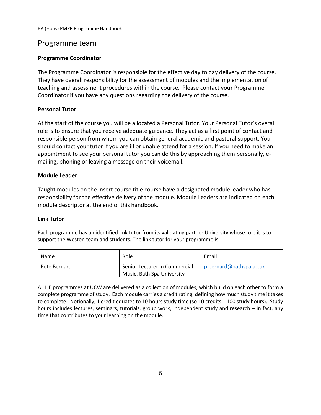### <span id="page-5-0"></span>Programme team

#### **Programme Coordinator**

The Programme Coordinator is responsible for the effective day to day delivery of the course. They have overall responsibility for the assessment of modules and the implementation of teaching and assessment procedures within the course. Please contact your Programme Coordinator if you have any questions regarding the delivery of the course.

#### **Personal Tutor**

At the start of the course you will be allocated a Personal Tutor. Your Personal Tutor's overall role is to ensure that you receive adequate guidance. They act as a first point of contact and responsible person from whom you can obtain general academic and pastoral support. You should contact your tutor if you are ill or unable attend for a session. If you need to make an appointment to see your personal tutor you can do this by approaching them personally, emailing, phoning or leaving a message on their voicemail.

#### **Module Leader**

Taught modules on the insert course title course have a designated module leader who has responsibility for the effective delivery of the module. Module Leaders are indicated on each module descriptor at the end of this handbook.

#### **Link Tutor**

Each programme has an identified link tutor from its validating partner University whose role it is to support the Weston team and students. The link tutor for your programme is:

| Name         | Role                                                        | Email                   |
|--------------|-------------------------------------------------------------|-------------------------|
| Pete Bernard | Senior Lecturer in Commercial<br>Music, Bath Spa University | p.bernard@bathspa.ac.uk |

All HE programmes at UCW are delivered as a collection of modules, which build on each other to form a complete programme of study. Each module carries a credit rating, defining how much study time it takes to complete. Notionally, 1 credit equates to 10 hours study time (so 10 credits = 100 study hours). Study hours includes lectures, seminars, tutorials, group work, independent study and research – in fact, any time that contributes to your learning on the module.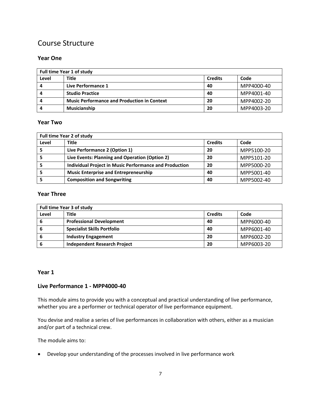### <span id="page-6-0"></span>Course Structure

#### **Year One**

| Full time Year 1 of study |                                                    |                |            |
|---------------------------|----------------------------------------------------|----------------|------------|
| Level                     | <b>Title</b>                                       | <b>Credits</b> | Code       |
|                           | Live Performance 1                                 | 40             | MPP4000-40 |
|                           | <b>Studio Practice</b>                             | 40             | MPP4001-40 |
|                           | <b>Music Performance and Production in Context</b> | -20            | MPP4002-20 |
|                           | <b>Musicianship</b>                                | 20             | MPP4003-20 |

#### **Year Two**

| Full time Year 2 of study |                                                               |                |            |  |
|---------------------------|---------------------------------------------------------------|----------------|------------|--|
| Level                     | <b>Title</b>                                                  | <b>Credits</b> | Code       |  |
|                           | Live Performance 2 (Option 1)                                 | 20             | MPP5100-20 |  |
|                           | Live Events: Planning and Operation (Option 2)                | -20            | MPP5101-20 |  |
|                           | <b>Individual Project in Music Performance and Production</b> | 20             | MPP5000-20 |  |
|                           | <b>Music Enterprise and Entrepreneurship</b>                  | 40             | MPP5001-40 |  |
|                           | <b>Composition and Songwriting</b>                            | 40             | MPP5002-40 |  |

#### **Year Three**

|       | <b>Full time Year 3 of study</b>    |                |            |  |  |
|-------|-------------------------------------|----------------|------------|--|--|
| Level | Title                               | <b>Credits</b> | Code       |  |  |
| 6     | <b>Professional Development</b>     | 40             | MPP6000-40 |  |  |
| O     | <b>Specialist Skills Portfolio</b>  | 40             | MPP6001-40 |  |  |
| o     | <b>Industry Engagement</b>          | 20             | MPP6002-20 |  |  |
|       | <b>Independent Research Project</b> | 20             | MPP6003-20 |  |  |

#### **Year 1**

#### **Live Performance 1 - MPP4000-40**

This module aims to provide you with a conceptual and practical understanding of live performance, whether you are a performer or technical operator of live performance equipment.

You devise and realise a series of live performances in collaboration with others, either as a musician and/or part of a technical crew.

The module aims to:

• Develop your understanding of the processes involved in live performance work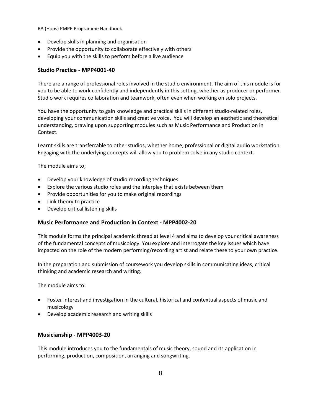- Develop skills in planning and organisation
- Provide the opportunity to collaborate effectively with others
- Equip you with the skills to perform before a live audience

#### **Studio Practice - MPP4001-40**

There are a range of professional roles involved in the studio environment. The aim of this module is for you to be able to work confidently and independently in this setting, whether as producer or performer. Studio work requires collaboration and teamwork, often even when working on solo projects.

You have the opportunity to gain knowledge and practical skills in different studio-related roles, developing your communication skills and creative voice. You will develop an aesthetic and theoretical understanding, drawing upon supporting modules such as Music Performance and Production in Context.

Learnt skills are transferrable to other studios, whether home, professional or digital audio workstation. Engaging with the underlying concepts will allow you to problem solve in any studio context.

The module aims to;

- Develop your knowledge of studio recording techniques
- Explore the various studio roles and the interplay that exists between them
- Provide opportunities for you to make original recordings
- Link theory to practice
- Develop critical listening skills

#### **Music Performance and Production in Context - MPP4002-20**

This module forms the principal academic thread at level 4 and aims to develop your critical awareness of the fundamental concepts of musicology. You explore and interrogate the key issues which have impacted on the role of the modern performing/recording artist and relate these to your own practice.

In the preparation and submission of coursework you develop skills in communicating ideas, critical thinking and academic research and writing.

The module aims to:

- Foster interest and investigation in the cultural, historical and contextual aspects of music and musicology
- Develop academic research and writing skills

#### **Musicianship - MPP4003-20**

This module introduces you to the fundamentals of music theory, sound and its application in performing, production, composition, arranging and songwriting.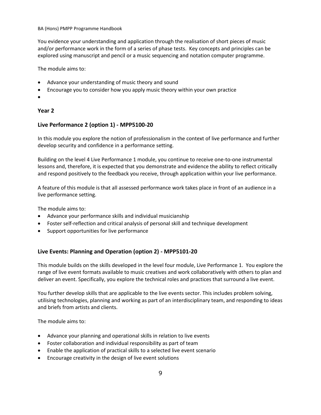You evidence your understanding and application through the realisation of short pieces of music and/or performance work in the form of a series of phase tests. Key concepts and principles can be explored using manuscript and pencil or a music sequencing and notation computer programme.

The module aims to:

- Advance your understanding of music theory and sound
- Encourage you to consider how you apply music theory within your own practice
- •

#### **Year 2**

#### **Live Performance 2 (option 1) - MPP5100-20**

In this module you explore the notion of professionalism in the context of live performance and further develop security and confidence in a performance setting.

Building on the level 4 Live Performance 1 module, you continue to receive one-to-one instrumental lessons and, therefore, it is expected that you demonstrate and evidence the ability to reflect critically and respond positively to the feedback you receive, through application within your live performance.

A feature of this module is that all assessed performance work takes place in front of an audience in a live performance setting.

The module aims to:

- Advance your performance skills and individual musicianship
- Foster self-reflection and critical analysis of personal skill and technique development
- Support opportunities for live performance

#### **Live Events: Planning and Operation (option 2) - MPP5101-20**

This module builds on the skills developed in the level four module, Live Performance 1. You explore the range of live event formats available to music creatives and work collaboratively with others to plan and deliver an event. Specifically, you explore the technical roles and practices that surround a live event.

You further develop skills that are applicable to the live events sector. This includes problem solving, utilising technologies, planning and working as part of an interdisciplinary team, and responding to ideas and briefs from artists and clients.

The module aims to:

- Advance your planning and operational skills in relation to live events
- Foster collaboration and individual responsibility as part of team
- Enable the application of practical skills to a selected live event scenario
- Encourage creativity in the design of live event solutions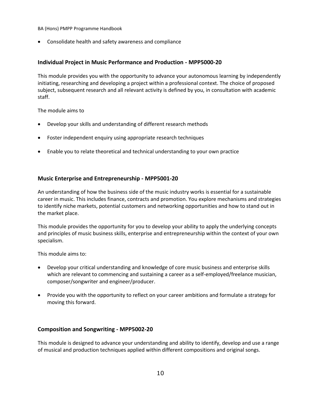• Consolidate health and safety awareness and compliance

#### **Individual Project in Music Performance and Production - MPP5000-20**

This module provides you with the opportunity to advance your autonomous learning by independently initiating, researching and developing a project within a professional context. The choice of proposed subject, subsequent research and all relevant activity is defined by you, in consultation with academic staff.

The module aims to

- Develop your skills and understanding of different research methods
- Foster independent enquiry using appropriate research techniques
- Enable you to relate theoretical and technical understanding to your own practice

#### **Music Enterprise and Entrepreneurship - MPP5001-20**

An understanding of how the business side of the music industry works is essential for a sustainable career in music. This includes finance, contracts and promotion. You explore mechanisms and strategies to identify niche markets, potential customers and networking opportunities and how to stand out in the market place.

This module provides the opportunity for you to develop your ability to apply the underlying concepts and principles of music business skills, enterprise and entrepreneurship within the context of your own specialism.

This module aims to:

- Develop your critical understanding and knowledge of core music business and enterprise skills which are relevant to commencing and sustaining a career as a self-employed/freelance musician, composer/songwriter and engineer/producer.
- Provide you with the opportunity to reflect on your career ambitions and formulate a strategy for moving this forward.

#### **Composition and Songwriting - MPP5002-20**

This module is designed to advance your understanding and ability to identify, develop and use a range of musical and production techniques applied within different compositions and original songs.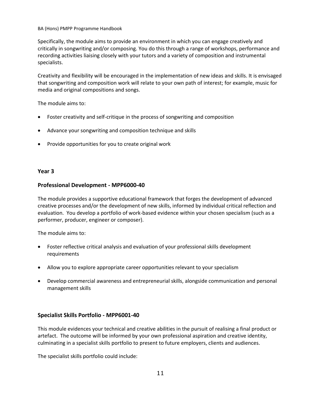Specifically, the module aims to provide an environment in which you can engage creatively and critically in songwriting and/or composing. You do this through a range of workshops, performance and recording activities liaising closely with your tutors and a variety of composition and instrumental specialists.

Creativity and flexibility will be encouraged in the implementation of new ideas and skills. It is envisaged that songwriting and composition work will relate to your own path of interest; for example, music for media and original compositions and songs.

The module aims to:

- Foster creativity and self-critique in the process of songwriting and composition
- Advance your songwriting and composition technique and skills
- Provide opportunities for you to create original work

#### **Year 3**

#### **Professional Development - MPP6000-40**

The module provides a supportive educational framework that forges the development of advanced creative processes and/or the development of new skills, informed by individual critical reflection and evaluation. You develop a portfolio of work-based evidence within your chosen specialism (such as a performer, producer, engineer or composer).

The module aims to:

- Foster reflective critical analysis and evaluation of your professional skills development requirements
- Allow you to explore appropriate career opportunities relevant to your specialism
- Develop commercial awareness and entrepreneurial skills, alongside communication and personal management skills

#### **Specialist Skills Portfolio - MPP6001-40**

This module evidences your technical and creative abilities in the pursuit of realising a final product or artefact. The outcome will be informed by your own professional aspiration and creative identity, culminating in a specialist skills portfolio to present to future employers, clients and audiences.

The specialist skills portfolio could include: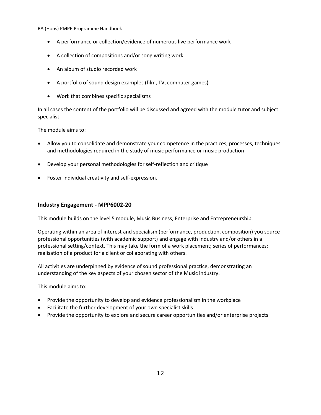- A performance or collection/evidence of numerous live performance work
- A collection of compositions and/or song writing work
- An album of studio recorded work
- A portfolio of sound design examples (film, TV, computer games)
- Work that combines specific specialisms

In all cases the content of the portfolio will be discussed and agreed with the module tutor and subject specialist.

The module aims to:

- Allow you to consolidate and demonstrate your competence in the practices, processes, techniques and methodologies required in the study of music performance or music production
- Develop your personal methodologies for self-reflection and critique
- Foster individual creativity and self-expression.

#### **Industry Engagement - MPP6002-20**

This module builds on the level 5 module, Music Business, Enterprise and Entrepreneurship.

Operating within an area of interest and specialism (performance, production, composition) you source professional opportunities (with academic support) and engage with industry and/or others in a professional setting/context. This may take the form of a work placement; series of performances; realisation of a product for a client or collaborating with others.

All activities are underpinned by evidence of sound professional practice, demonstrating an understanding of the key aspects of your chosen sector of the Music industry.

This module aims to:

- Provide the opportunity to develop and evidence professionalism in the workplace
- Facilitate the further development of your own specialist skills
- Provide the opportunity to explore and secure career opportunities and/or enterprise projects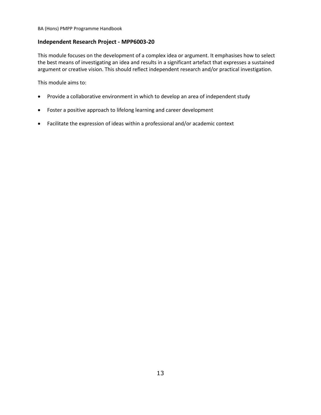#### **Independent Research Project - MPP6003-20**

This module focuses on the development of a complex idea or argument. It emphasises how to select the best means of investigating an idea and results in a significant artefact that expresses a sustained argument or creative vision. This should reflect independent research and/or practical investigation.

This module aims to:

- Provide a collaborative environment in which to develop an area of independent study
- Foster a positive approach to lifelong learning and career development
- Facilitate the expression of ideas within a professional and/or academic context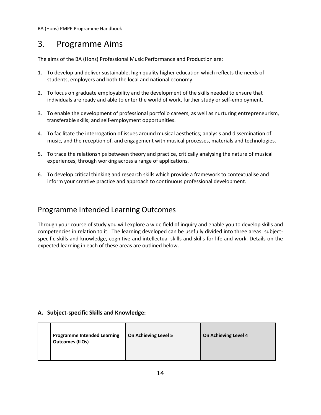### <span id="page-13-0"></span>3. Programme Aims

The aims of the BA (Hons) Professional Music Performance and Production are:

- 1. To develop and deliver sustainable, high quality higher education which reflects the needs of students, employers and both the local and national economy.
- 2. To focus on graduate employability and the development of the skills needed to ensure that individuals are ready and able to enter the world of work, further study or self-employment.
- 3. To enable the development of professional portfolio careers, as well as nurturing entrepreneurism, transferable skills; and self-employment opportunities.
- 4. To facilitate the interrogation of issues around musical aesthetics; analysis and dissemination of music, and the reception of, and engagement with musical processes, materials and technologies.
- 5. To trace the relationships between theory and practice, critically analysing the nature of musical experiences, through working across a range of applications.
- 6. To develop critical thinking and research skills which provide a framework to contextualise and inform your creative practice and approach to continuous professional development.

### <span id="page-13-1"></span>Programme Intended Learning Outcomes

Through your course of study you will explore a wide field of inquiry and enable you to develop skills and competencies in relation to it. The learning developed can be usefully divided into three areas: subjectspecific skills and knowledge, cognitive and intellectual skills and skills for life and work. Details on the expected learning in each of these areas are outlined below.

#### **A. Subject-specific Skills and Knowledge:**

|  | <b>Programme Intended Learning</b><br><b>Outcomes (ILOs)</b> | <b>On Achieving Level 5</b> | On Achieving Level 4 |
|--|--------------------------------------------------------------|-----------------------------|----------------------|
|--|--------------------------------------------------------------|-----------------------------|----------------------|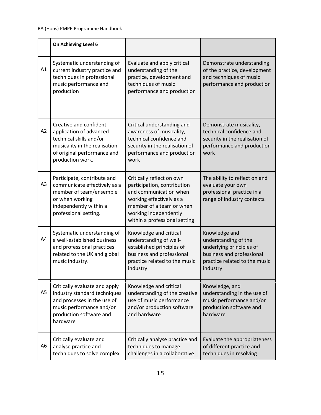|                | On Achieving Level 6                                                                                                                                             |                                                                                                                                                                                                      |                                                                                                                                             |
|----------------|------------------------------------------------------------------------------------------------------------------------------------------------------------------|------------------------------------------------------------------------------------------------------------------------------------------------------------------------------------------------------|---------------------------------------------------------------------------------------------------------------------------------------------|
| A1             | Systematic understanding of<br>current industry practice and<br>techniques in professional<br>music performance and<br>production                                | Evaluate and apply critical<br>understanding of the<br>practice, development and<br>techniques of music<br>performance and production                                                                | Demonstrate understanding<br>of the practice, development<br>and techniques of music<br>performance and production                          |
| A2             | Creative and confident<br>application of advanced<br>technical skills and/or<br>musicality in the realisation<br>of original performance and<br>production work. | Critical understanding and<br>awareness of musicality,<br>technical confidence and<br>security in the realisation of<br>performance and production<br>work                                           | Demonstrate musicality,<br>technical confidence and<br>security in the realisation of<br>performance and production<br>work                 |
| A <sub>3</sub> | Participate, contribute and<br>communicate effectively as a<br>member of team/ensemble<br>or when working<br>independently within a<br>professional setting.     | Critically reflect on own<br>participation, contribution<br>and communication when<br>working effectively as a<br>member of a team or when<br>working independently<br>within a professional setting | The ability to reflect on and<br>evaluate your own<br>professional practice in a<br>range of industry contexts.                             |
| A4             | Systematic understanding of<br>a well-established business<br>and professional practices<br>related to the UK and global<br>music industry.                      | Knowledge and critical<br>understanding of well-<br>established principles of<br>business and professional<br>practice related to the music<br>industry                                              | Knowledge and<br>understanding of the<br>underlying principles of<br>business and professional<br>practice related to the music<br>industry |
| A <sub>5</sub> | Critically evaluate and apply<br>industry standard techniques<br>and processes in the use of<br>music performance and/or<br>production software and<br>hardware  | Knowledge and critical<br>understanding of the creative<br>use of music performance<br>and/or production software<br>and hardware                                                                    | Knowledge, and<br>understanding in the use of<br>music performance and/or<br>production software and<br>hardware                            |
| A6             | Critically evaluate and<br>analyse practice and<br>techniques to solve complex                                                                                   | Critically analyse practice and<br>techniques to manage<br>challenges in a collaborative                                                                                                             | Evaluate the appropriateness<br>of different practice and<br>techniques in resolving                                                        |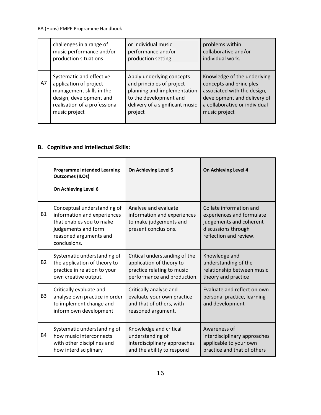|    | challenges in a range of      | or individual music             | problems within               |
|----|-------------------------------|---------------------------------|-------------------------------|
|    | music performance and/or      | performance and/or              | collaborative and/or          |
|    | production situations         | production setting              | individual work.              |
| A7 | Systematic and effective      | Apply underlying concepts       | Knowledge of the underlying   |
|    | application of project        | and principles of project       | concepts and principles       |
|    | management skills in the      | planning and implementation     | associated with the design,   |
|    | design, development and       | to the development and          | development and delivery of   |
|    | realisation of a professional | delivery of a significant music | a collaborative or individual |
|    | music project                 | project                         | music project                 |

### **B. Cognitive and Intellectual Skills:**

|                | <b>Programme Intended Learning</b><br><b>Outcomes (ILOs)</b><br>On Achieving Level 6                                                                    | On Achieving Level 5                                                                                                   | On Achieving Level 4                                                                                                             |
|----------------|---------------------------------------------------------------------------------------------------------------------------------------------------------|------------------------------------------------------------------------------------------------------------------------|----------------------------------------------------------------------------------------------------------------------------------|
| <b>B1</b>      | Conceptual understanding of<br>information and experiences<br>that enables you to make<br>judgements and form<br>reasoned arguments and<br>conclusions. | Analyse and evaluate<br>information and experiences<br>to make judgements and<br>present conclusions.                  | Collate information and<br>experiences and formulate<br>judgements and coherent<br>discussions through<br>reflection and review. |
| <b>B2</b>      | Systematic understanding of<br>the application of theory to<br>practice in relation to your<br>own creative output.                                     | Critical understanding of the<br>application of theory to<br>practice relating to music<br>performance and production. | Knowledge and<br>understanding of the<br>relationship between music<br>theory and practice                                       |
| B <sub>3</sub> | Critically evaluate and<br>analyse own practice in order<br>to implement change and<br>inform own development                                           | Critically analyse and<br>evaluate your own practice<br>and that of others, with<br>reasoned argument.                 | Evaluate and reflect on own<br>personal practice, learning<br>and development                                                    |
| <b>B4</b>      | Systematic understanding of<br>how music interconnects<br>with other disciplines and<br>how interdisciplinary                                           | Knowledge and critical<br>understanding of<br>interdisciplinary approaches<br>and the ability to respond               | Awareness of<br>interdisciplinary approaches<br>applicable to your own<br>practice and that of others                            |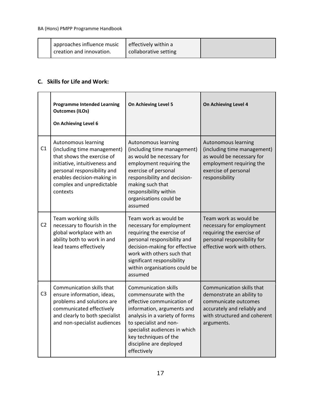| approaches influence music<br>creation and innovation. | effectively within a<br>collaborative setting |  |
|--------------------------------------------------------|-----------------------------------------------|--|
|                                                        |                                               |  |

#### **C. Skills for Life and Work:**

|                | <b>Programme Intended Learning</b><br><b>Outcomes (ILOs)</b><br>On Achieving Level 6                                                                                                                                    | On Achieving Level 5                                                                                                                                                                                                                                                             | On Achieving Level 4                                                                                                                                        |
|----------------|-------------------------------------------------------------------------------------------------------------------------------------------------------------------------------------------------------------------------|----------------------------------------------------------------------------------------------------------------------------------------------------------------------------------------------------------------------------------------------------------------------------------|-------------------------------------------------------------------------------------------------------------------------------------------------------------|
| C1             | Autonomous learning<br>(including time management)<br>that shows the exercise of<br>initiative, intuitiveness and<br>personal responsibility and<br>enables decision-making in<br>complex and unpredictable<br>contexts | Autonomous learning<br>(including time management)<br>as would be necessary for<br>employment requiring the<br>exercise of personal<br>responsibility and decision-<br>making such that<br>responsibility within<br>organisations could be<br>assumed                            | Autonomous learning<br>(including time management)<br>as would be necessary for<br>employment requiring the<br>exercise of personal<br>responsibility       |
| C <sub>2</sub> | Team working skills<br>necessary to flourish in the<br>global workplace with an<br>ability both to work in and<br>lead teams effectively                                                                                | Team work as would be<br>necessary for employment<br>requiring the exercise of<br>personal responsibility and<br>decision-making for effective<br>work with others such that<br>significant responsibility<br>within organisations could be<br>assumed                           | Team work as would be<br>necessary for employment<br>requiring the exercise of<br>personal responsibility for<br>effective work with others.                |
| C <sub>3</sub> | Communication skills that<br>ensure information, ideas,<br>problems and solutions are<br>communicated effectively<br>and clearly to both specialist<br>and non-specialist audiences                                     | <b>Communication skills</b><br>commensurate with the<br>effective communication of<br>information, arguments and<br>analysis in a variety of forms<br>to specialist and non-<br>specialist audiences in which<br>key techniques of the<br>discipline are deployed<br>effectively | Communication skills that<br>demonstrate an ability to<br>communicate outcomes<br>accurately and reliably and<br>with structured and coherent<br>arguments. |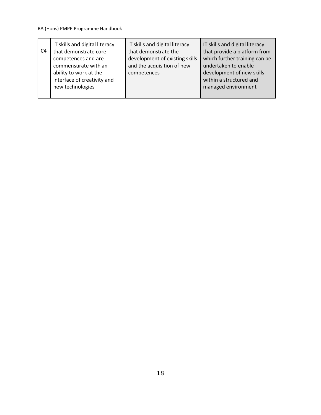| C4 | IT skills and digital literacy<br>that demonstrate core<br>competences and are<br>commensurate with an<br>ability to work at the<br>interface of creativity and<br>new technologies | IT skills and digital literacy<br>that demonstrate the<br>development of existing skills<br>and the acquisition of new<br>competences | IT skills and digital literacy<br>that provide a platform from<br>which further training can be<br>undertaken to enable<br>development of new skills<br>within a structured and<br>managed environment |
|----|-------------------------------------------------------------------------------------------------------------------------------------------------------------------------------------|---------------------------------------------------------------------------------------------------------------------------------------|--------------------------------------------------------------------------------------------------------------------------------------------------------------------------------------------------------|
|----|-------------------------------------------------------------------------------------------------------------------------------------------------------------------------------------|---------------------------------------------------------------------------------------------------------------------------------------|--------------------------------------------------------------------------------------------------------------------------------------------------------------------------------------------------------|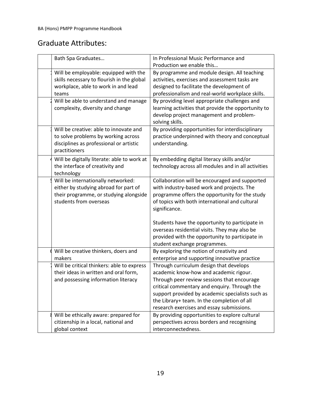### <span id="page-18-0"></span>Graduate Attributes:

| Bath Spa Graduates                          | In Professional Music Performance and               |
|---------------------------------------------|-----------------------------------------------------|
|                                             | Production we enable this                           |
| Will be employable: equipped with the       | By programme and module design. All teaching        |
| skills necessary to flourish in the global  | activities, exercises and assessment tasks are      |
| workplace, able to work in and lead         | designed to facilitate the development of           |
| teams                                       | professionalism and real-world workplace skills.    |
| Will be able to understand and manage       | By providing level appropriate challenges and       |
| complexity, diversity and change            | learning activities that provide the opportunity to |
|                                             | develop project management and problem-             |
|                                             | solving skills.                                     |
| Will be creative: able to innovate and      | By providing opportunities for interdisciplinary    |
| to solve problems by working across         | practice underpinned with theory and conceptual     |
| disciplines as professional or artistic     | understanding.                                      |
| practitioners                               |                                                     |
| Will be digitally literate: able to work at | By embedding digital literacy skills and/or         |
| the interface of creativity and             | technology across all modules and in all activities |
| technology                                  |                                                     |
| Will be internationally networked:          | Collaboration will be encouraged and supported      |
| either by studying abroad for part of       | with industry-based work and projects. The          |
| their programme, or studying alongside      | programme offers the opportunity for the study      |
| students from overseas                      | of topics with both international and cultural      |
|                                             | significance.                                       |
|                                             |                                                     |
|                                             | Students have the opportunity to participate in     |
|                                             | overseas residential visits. They may also be       |
|                                             | provided with the opportunity to participate in     |
|                                             | student exchange programmes.                        |
| Will be creative thinkers, doers and        | By exploring the notion of creativity and           |
| makers                                      | enterprise and supporting innovative practice       |
| Will be critical thinkers: able to express  | Through curriculum design that develops             |
| their ideas in written and oral form,       | academic know-how and academic rigour.              |
| and possessing information literacy         | Through peer review sessions that encourage         |
|                                             | critical commentary and enquiry. Through the        |
|                                             | support provided by academic specialists such as    |
|                                             | the Library+ team. In the completion of all         |
|                                             | research exercises and essay submissions.           |
| Will be ethically aware: prepared for       | By providing opportunities to explore cultural      |
| citizenship in a local, national and        | perspectives across borders and recognising         |
| global context                              | interconnectedness.                                 |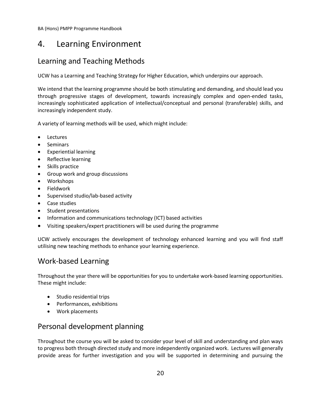### <span id="page-19-0"></span>4. Learning Environment

### <span id="page-19-1"></span>Learning and Teaching Methods

UCW has a Learning and Teaching Strategy for Higher Education, which underpins our approach.

We intend that the learning programme should be both stimulating and demanding, and should lead you through progressive stages of development, towards increasingly complex and open-ended tasks, increasingly sophisticated application of intellectual/conceptual and personal (transferable) skills, and increasingly independent study.

A variety of learning methods will be used, which might include:

- Lectures
- Seminars
- Experiential learning
- Reflective learning
- Skills practice
- Group work and group discussions
- Workshops
- Fieldwork
- Supervised studio/lab-based activity
- Case studies
- Student presentations
- Information and communications technology (ICT) based activities
- Visiting speakers/expert practitioners will be used during the programme

UCW actively encourages the development of technology enhanced learning and you will find staff utilising new teaching methods to enhance your learning experience.

### <span id="page-19-2"></span>Work-based Learning

Throughout the year there will be opportunities for you to undertake work-based learning opportunities. These might include:

- Studio residential trips
- Performances, exhibitions
- Work placements

### <span id="page-19-3"></span>Personal development planning

Throughout the course you will be asked to consider your level of skill and understanding and plan ways to progress both through directed study and more independently organized work. Lectures will generally provide areas for further investigation and you will be supported in determining and pursuing the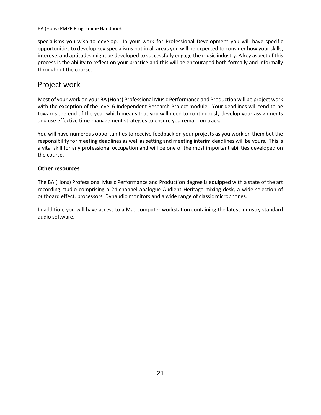specialisms you wish to develop. In your work for Professional Development you will have specific opportunities to develop key specialisms but in all areas you will be expected to consider how your skills, interests and aptitudes might be developed to successfully engage the music industry. A key aspect of this process is the ability to reflect on your practice and this will be encouraged both formally and informally throughout the course.

### <span id="page-20-0"></span>Project work

Most of your work on your BA (Hons) Professional Music Performance and Production will be project work with the exception of the level 6 Independent Research Project module. Your deadlines will tend to be towards the end of the year which means that you will need to continuously develop your assignments and use effective time-management strategies to ensure you remain on track.

You will have numerous opportunities to receive feedback on your projects as you work on them but the responsibility for meeting deadlines as well as setting and meeting interim deadlines will be yours. This is a vital skill for any professional occupation and will be one of the most important abilities developed on the course.

#### **Other resources**

The BA (Hons) Professional Music Performance and Production degree is equipped with a state of the art recording studio comprising a 24-channel analogue Audient Heritage mixing desk, a wide selection of outboard effect, processors, Dynaudio monitors and a wide range of classic microphones.

In addition, you will have access to a Mac computer workstation containing the latest industry standard audio software.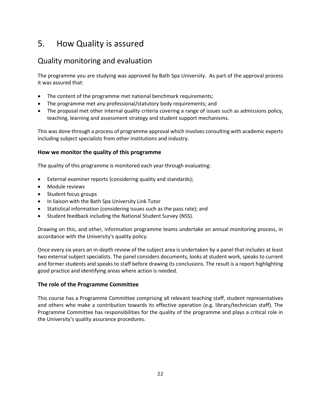### <span id="page-21-0"></span>5. How Quality is assured

### <span id="page-21-1"></span>Quality monitoring and evaluation

The programme you are studying was approved by Bath Spa University. As part of the approval process it was assured that:

- The content of the programme met national benchmark requirements;
- The programme met any professional/statutory body requirements; and
- The proposal met other internal quality criteria covering a range of issues such as admissions policy, teaching, learning and assessment strategy and student support mechanisms.

This was done through a process of programme approval which involves consulting with academic experts including subject specialists from other institutions and industry.

#### **How we monitor the quality of this programme**

The quality of this programme is monitored each year through evaluating:

- External examiner reports (considering quality and standards);
- Module reviews
- Student focus groups
- In liaison with the Bath Spa University Link Tutor
- Statistical information (considering issues such as the pass rate); and
- Student feedback including the National Student Survey (NSS).

Drawing on this, and other, information programme teams undertake an annual monitoring process, in accordance with the University's quality policy.

Once every six years an in-depth review of the subject area is undertaken by a panel that includes at least two external subject specialists. The panel considers documents, looks at student work, speaks to current and former students and speaks to staff before drawing its conclusions. The result is a report highlighting good practice and identifying areas where action is needed.

#### **The role of the Programme Committee**

This course has a Programme Committee comprising all relevant teaching staff, student representatives and others who make a contribution towards its effective operation (e.g. library/technician staff). The Programme Committee has responsibilities for the quality of the programme and plays a critical role in the University's quality assurance procedures.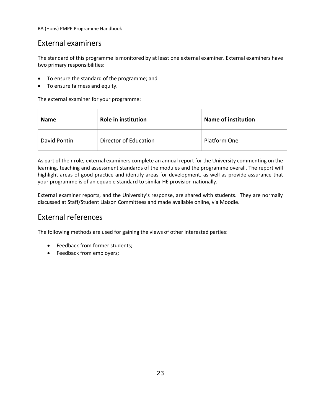### <span id="page-22-0"></span>External examiners

The standard of this programme is monitored by at least one external examiner. External examiners have two primary responsibilities:

- To ensure the standard of the programme; and
- To ensure fairness and equity.

The external examiner for your programme:

| <b>Name</b>  | <b>Role in institution</b> | <b>Name of institution</b> |
|--------------|----------------------------|----------------------------|
| David Pontin | Director of Education      | Platform One               |

As part of their role, external examiners complete an annual report for the University commenting on the learning, teaching and assessment standards of the modules and the programme overall. The report will highlight areas of good practice and identify areas for development, as well as provide assurance that your programme is of an equable standard to similar HE provision nationally.

External examiner reports, and the University's response, are shared with students. They are normally discussed at Staff/Student Liaison Committees and made available online, via Moodle.

### <span id="page-22-1"></span>External references

The following methods are used for gaining the views of other interested parties:

- Feedback from former students;
- Feedback from employers;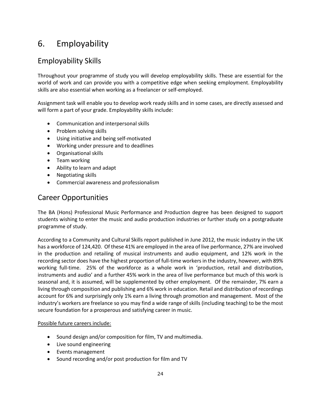### <span id="page-23-0"></span>6. Employability

### <span id="page-23-1"></span>Employability Skills

Throughout your programme of study you will develop employability skills. These are essential for the world of work and can provide you with a competitive edge when seeking employment. Employability skills are also essential when working as a freelancer or self-employed.

Assignment task will enable you to develop work ready skills and in some cases, are directly assessed and will form a part of your grade. Employability skills include:

- Communication and interpersonal skills
- Problem solving skills
- Using initiative and being self-motivated
- Working under pressure and to deadlines
- Organisational skills
- Team working
- Ability to learn and adapt
- Negotiating skills
- Commercial awareness and professionalism

### Career Opportunities

The BA (Hons) Professional Music Performance and Production degree has been designed to support students wishing to enter the music and audio production industries or further study on a postgraduate programme of study.

According to a Community and Cultural Skills report published in June 2012, the music industry in the UK has a workforce of 124,420. Of these 41% are employed in the area of live performance, 27% are involved in the production and retailing of musical instruments and audio equipment, and 12% work in the recording sector does have the highest proportion of full-time workers in the industry, however, with 89% working full-time. 25% of the workforce as a whole work in 'production, retail and distribution, instruments and audio' and a further 45% work in the area of live performance but much of this work is seasonal and, it is assumed, will be supplemented by other employment. Of the remainder, 7% earn a living through composition and publishing and 6% work in education. Retail and distribution of recordings account for 6% and surprisingly only 1% earn a living through promotion and management. Most of the industry's workers are freelance so you may find a wide range of skills (including teaching) to be the most secure foundation for a prosperous and satisfying career in music.

#### Possible future careers include:

- Sound design and/or composition for film, TV and multimedia.
- Live sound engineering
- Events management
- Sound recording and/or post production for film and TV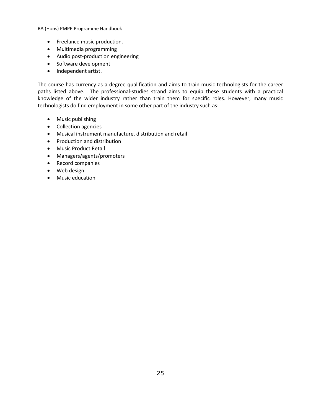- Freelance music production.
- Multimedia programming
- Audio post-production engineering
- Software development
- Independent artist.

The course has currency as a degree qualification and aims to train music technologists for the career paths listed above. The professional-studies strand aims to equip these students with a practical knowledge of the wider industry rather than train them for specific roles. However, many music technologists do find employment in some other part of the industry such as:

- Music publishing
- Collection agencies
- Musical instrument manufacture, distribution and retail
- Production and distribution
- Music Product Retail
- Managers/agents/promoters
- Record companies
- Web design
- Music education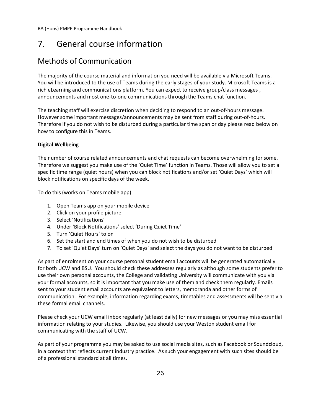### <span id="page-25-0"></span>7. General course information

### <span id="page-25-1"></span>Methods of Communication

The majority of the course material and information you need will be available via Microsoft Teams. You will be introduced to the use of Teams during the early stages of your study. Microsoft Teams is a rich eLearning and communications platform. You can expect to receive group/class messages , announcements and most one-to-one communications through the Teams chat function.

The teaching staff will exercise discretion when deciding to respond to an out-of-hours message. However some important messages/announcements may be sent from staff during out-of-hours. Therefore if you do not wish to be disturbed during a particular time span or day please read below on how to configure this in Teams.

#### **Digital Wellbeing**

The number of course related announcements and chat requests can become overwhelming for some. Therefore we suggest you make use of the 'Quiet Time' function in Teams. Those will allow you to set a specific time range (quiet hours) when you can block notifications and/or set 'Quiet Days' which will block notifications on specific days of the week.

To do this (works on Teams mobile app):

- 1. Open Teams app on your mobile device
- 2. Click on your profile picture
- 3. Select 'Notifications'
- 4. Under 'Block Notifications' select 'During Quiet Time'
- 5. Turn 'Quiet Hours' to on
- 6. Set the start and end times of when you do not wish to be disturbed
- 7. To set 'Quiet Days' turn on 'Quiet Days' and select the days you do not want to be disturbed

As part of enrolment on your course personal student email accounts will be generated automatically for both UCW and BSU. You should check these addresses regularly as although some students prefer to use their own personal accounts, the College and validating University will communicate with you via your formal accounts, so it is important that you make use of them and check them regularly. Emails sent to your student email accounts are equivalent to letters, memoranda and other forms of communication. For example, information regarding exams, timetables and assessments will be sent via these formal email channels.

Please check your UCW email inbox regularly (at least daily) for new messages or you may miss essential information relating to your studies. Likewise, you should use your Weston student email for communicating with the staff of UCW.

As part of your programme you may be asked to use social media sites, such as Facebook or Soundcloud, in a context that reflects current industry practice. As such your engagement with such sites should be of a professional standard at all times.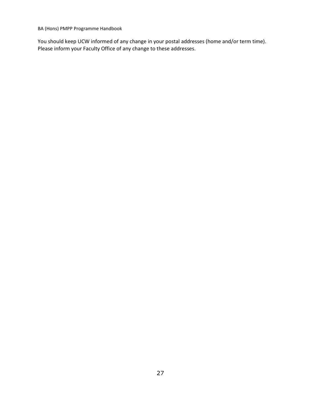You should keep UCW informed of any change in your postal addresses (home and/or term time). Please inform your Faculty Office of any change to these addresses.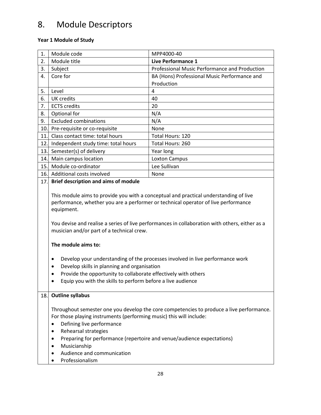## <span id="page-27-0"></span>8. Module Descriptors

#### **Year 1 Module of Study**

| 1.  |                                                                                                                                                                                                                                                                                                                                                                                                                                                                                                                                                                                                                                                    |                                               |  |
|-----|----------------------------------------------------------------------------------------------------------------------------------------------------------------------------------------------------------------------------------------------------------------------------------------------------------------------------------------------------------------------------------------------------------------------------------------------------------------------------------------------------------------------------------------------------------------------------------------------------------------------------------------------------|-----------------------------------------------|--|
|     | Module code                                                                                                                                                                                                                                                                                                                                                                                                                                                                                                                                                                                                                                        | MPP4000-40                                    |  |
| 2.  | Module title                                                                                                                                                                                                                                                                                                                                                                                                                                                                                                                                                                                                                                       | <b>Live Performance 1</b>                     |  |
| 3.  | Subject                                                                                                                                                                                                                                                                                                                                                                                                                                                                                                                                                                                                                                            | Professional Music Performance and Production |  |
| 4.  | Core for                                                                                                                                                                                                                                                                                                                                                                                                                                                                                                                                                                                                                                           | BA (Hons) Professional Music Performance and  |  |
|     |                                                                                                                                                                                                                                                                                                                                                                                                                                                                                                                                                                                                                                                    | Production                                    |  |
| 5.  | Level                                                                                                                                                                                                                                                                                                                                                                                                                                                                                                                                                                                                                                              | 4                                             |  |
| 6.  | UK credits                                                                                                                                                                                                                                                                                                                                                                                                                                                                                                                                                                                                                                         | 40                                            |  |
| 7.  | <b>ECTS</b> credits                                                                                                                                                                                                                                                                                                                                                                                                                                                                                                                                                                                                                                | 20                                            |  |
| 8.  | Optional for                                                                                                                                                                                                                                                                                                                                                                                                                                                                                                                                                                                                                                       | N/A                                           |  |
| 9.  | <b>Excluded combinations</b>                                                                                                                                                                                                                                                                                                                                                                                                                                                                                                                                                                                                                       | N/A                                           |  |
| 10. | Pre-requisite or co-requisite                                                                                                                                                                                                                                                                                                                                                                                                                                                                                                                                                                                                                      | None                                          |  |
| 11. | Class contact time: total hours                                                                                                                                                                                                                                                                                                                                                                                                                                                                                                                                                                                                                    | Total Hours: 120                              |  |
| 12. | Independent study time: total hours                                                                                                                                                                                                                                                                                                                                                                                                                                                                                                                                                                                                                | Total Hours: 260                              |  |
| 13. | Semester(s) of delivery                                                                                                                                                                                                                                                                                                                                                                                                                                                                                                                                                                                                                            | Year long                                     |  |
| 14. | Main campus location                                                                                                                                                                                                                                                                                                                                                                                                                                                                                                                                                                                                                               | <b>Loxton Campus</b>                          |  |
| 15. | Module co-ordinator                                                                                                                                                                                                                                                                                                                                                                                                                                                                                                                                                                                                                                | Lee Sullivan                                  |  |
| 16. | Additional costs involved                                                                                                                                                                                                                                                                                                                                                                                                                                                                                                                                                                                                                          | None                                          |  |
| 17. | <b>Brief description and aims of module</b>                                                                                                                                                                                                                                                                                                                                                                                                                                                                                                                                                                                                        |                                               |  |
|     | This module aims to provide you with a conceptual and practical understanding of live<br>performance, whether you are a performer or technical operator of live performance<br>equipment.<br>You devise and realise a series of live performances in collaboration with others, either as a<br>musician and/or part of a technical crew.<br>The module aims to:<br>Develop your understanding of the processes involved in live performance work<br>٠<br>Develop skills in planning and organisation<br>$\bullet$<br>Provide the opportunity to collaborate effectively with others<br>Equip you with the skills to perform before a live audience |                                               |  |
| 18. | <b>Outline syllabus</b>                                                                                                                                                                                                                                                                                                                                                                                                                                                                                                                                                                                                                            |                                               |  |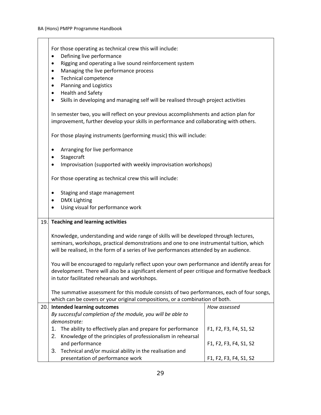|     | For those operating as technical crew this will include:                                                                                                                         |                        |  |
|-----|----------------------------------------------------------------------------------------------------------------------------------------------------------------------------------|------------------------|--|
|     | Defining live performance<br>Rigging and operating a live sound reinforcement system<br>٠                                                                                        |                        |  |
|     | Managing the live performance process<br>$\bullet$                                                                                                                               |                        |  |
|     | <b>Technical competence</b><br>٠                                                                                                                                                 |                        |  |
|     | <b>Planning and Logistics</b><br>$\bullet$                                                                                                                                       |                        |  |
|     | Health and Safety<br>$\bullet$                                                                                                                                                   |                        |  |
|     | Skills in developing and managing self will be realised through project activities<br>$\bullet$                                                                                  |                        |  |
|     | In semester two, you will reflect on your previous accomplishments and action plan for<br>improvement, further develop your skills in performance and collaborating with others. |                        |  |
|     | For those playing instruments (performing music) this will include:                                                                                                              |                        |  |
|     | Arranging for live performance<br>$\bullet$                                                                                                                                      |                        |  |
|     | Stagecraft<br>٠                                                                                                                                                                  |                        |  |
|     | Improvisation (supported with weekly improvisation workshops)                                                                                                                    |                        |  |
|     | For those operating as technical crew this will include:                                                                                                                         |                        |  |
|     | Staging and stage management<br>$\bullet$                                                                                                                                        |                        |  |
|     | <b>DMX Lighting</b><br>٠                                                                                                                                                         |                        |  |
|     | Using visual for performance work                                                                                                                                                |                        |  |
| 19. | <b>Teaching and learning activities</b>                                                                                                                                          |                        |  |
|     | Knowledge, understanding and wide range of skills will be developed through lectures,                                                                                            |                        |  |
|     | seminars, workshops, practical demonstrations and one to one instrumental tuition, which                                                                                         |                        |  |
|     | will be realised, in the form of a series of live performances attended by an audience.                                                                                          |                        |  |
|     | You will be encouraged to regularly reflect upon your own performance and identify areas for                                                                                     |                        |  |
|     | development. There will also be a significant element of peer critique and formative feedback                                                                                    |                        |  |
|     | in tutor facilitated rehearsals and workshops.                                                                                                                                   |                        |  |
|     | The summative assessment for this module consists of two performances, each of four songs,                                                                                       |                        |  |
|     | which can be covers or your original compositions, or a combination of both.                                                                                                     |                        |  |
| 20. | <b>Intended learning outcomes</b>                                                                                                                                                | How assessed           |  |
|     | By successful completion of the module, you will be able to                                                                                                                      |                        |  |
|     | demonstrate:                                                                                                                                                                     |                        |  |
|     | 1.<br>The ability to effectively plan and prepare for performance                                                                                                                | F1, F2, F3, F4, S1, S2 |  |
|     | 2.<br>Knowledge of the principles of professionalism in rehearsal<br>and performance                                                                                             | F1, F2, F3, F4, S1, S2 |  |
|     | Technical and/or musical ability in the realisation and<br>3.                                                                                                                    |                        |  |
|     | presentation of performance work                                                                                                                                                 | F1, F2, F3, F4, S1, S2 |  |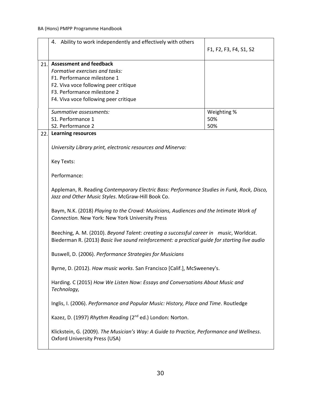|     | 4. Ability to work independently and effectively with others                                                                                                                             | F1, F2, F3, F4, S1, S2 |
|-----|------------------------------------------------------------------------------------------------------------------------------------------------------------------------------------------|------------------------|
| 21. | <b>Assessment and feedback</b>                                                                                                                                                           |                        |
|     | Formative exercises and tasks:                                                                                                                                                           |                        |
|     | F1. Performance milestone 1                                                                                                                                                              |                        |
|     | F2. Viva voce following peer critique                                                                                                                                                    |                        |
|     | F3. Performance milestone 2                                                                                                                                                              |                        |
|     | F4. Viva voce following peer critique                                                                                                                                                    |                        |
|     | Summative assessments:                                                                                                                                                                   | Weighting %            |
|     | S1. Performance 1                                                                                                                                                                        | 50%                    |
|     | S2. Performance 2                                                                                                                                                                        | 50%                    |
| 22. | <b>Learning resources</b>                                                                                                                                                                |                        |
|     | University Library print, electronic resources and Minerva:                                                                                                                              |                        |
|     | Key Texts:                                                                                                                                                                               |                        |
|     | Performance:                                                                                                                                                                             |                        |
|     | Appleman, R. Reading Contemporary Electric Bass: Performance Studies in Funk, Rock, Disco,<br>Jazz and Other Music Styles. McGraw-Hill Book Co.                                          |                        |
|     | Baym, N.K. (2018) Playing to the Crowd: Musicians, Audiences and the Intimate Work of<br>Connection. New York: New York University Press                                                 |                        |
|     | Beeching, A. M. (2010). Beyond Talent: creating a successful career in music, Worldcat.<br>Biederman R. (2013) Basic live sound reinforcement: a practical guide for starting live audio |                        |
|     | Buswell, D. (2006). Performance Strategies for Musicians                                                                                                                                 |                        |
|     | Byrne, D. (2012). How music works. San Francisco [Calif.], McSweeney's.                                                                                                                  |                        |
|     | Harding. C (2015) How We Listen Now: Essays and Conversations About Music and<br>Technology,                                                                                             |                        |
|     | Inglis, I. (2006). Performance and Popular Music: History, Place and Time. Routledge                                                                                                     |                        |
|     | Kazez, D. (1997) Rhythm Reading (2 <sup>nd</sup> ed.) London: Norton.                                                                                                                    |                        |
|     | Klickstein, G. (2009). The Musician's Way: A Guide to Practice, Performance and Wellness.<br><b>Oxford University Press (USA)</b>                                                        |                        |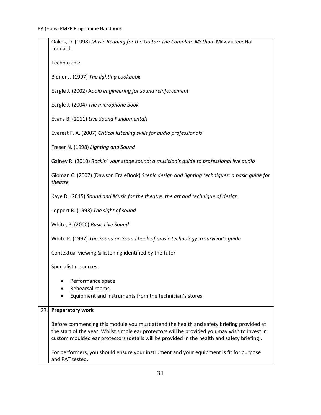|     | Oakes, D. (1998) Music Reading for the Guitar: The Complete Method. Milwaukee: Hal<br>Leonard.                                                                                                                                                                                            |
|-----|-------------------------------------------------------------------------------------------------------------------------------------------------------------------------------------------------------------------------------------------------------------------------------------------|
|     | Technicians:                                                                                                                                                                                                                                                                              |
|     | Bidner J. (1997) The lighting cookbook                                                                                                                                                                                                                                                    |
|     | Eargle J. (2002) Audio engineering for sound reinforcement                                                                                                                                                                                                                                |
|     | Eargle J. (2004) The microphone book                                                                                                                                                                                                                                                      |
|     | Evans B. (2011) Live Sound Fundamentals                                                                                                                                                                                                                                                   |
|     | Everest F. A. (2007) Critical listening skills for audio professionals                                                                                                                                                                                                                    |
|     | Fraser N. (1998) Lighting and Sound                                                                                                                                                                                                                                                       |
|     | Gainey R. (2010) Rockin' your stage sound: a musician's guide to professional live audio                                                                                                                                                                                                  |
|     | Gloman C. (2007) (Dawson Era eBook) Scenic design and lighting techniques: a basic guide for<br>theatre                                                                                                                                                                                   |
|     | Kaye D. (2015) Sound and Music for the theatre: the art and technique of design                                                                                                                                                                                                           |
|     | Leppert R. (1993) The sight of sound                                                                                                                                                                                                                                                      |
|     | White, P. (2000) Basic Live Sound                                                                                                                                                                                                                                                         |
|     | White P. (1997) The Sound on Sound book of music technology: a survivor's guide                                                                                                                                                                                                           |
|     | Contextual viewing & listening identified by the tutor                                                                                                                                                                                                                                    |
|     | Specialist resources:                                                                                                                                                                                                                                                                     |
|     | Performance space<br>Rehearsal rooms                                                                                                                                                                                                                                                      |
|     | Equipment and instruments from the technician's stores                                                                                                                                                                                                                                    |
| 23. | <b>Preparatory work</b>                                                                                                                                                                                                                                                                   |
|     | Before commencing this module you must attend the health and safety briefing provided at<br>the start of the year. Whilst simple ear protectors will be provided you may wish to invest in<br>custom moulded ear protectors (details will be provided in the health and safety briefing). |
|     | For performers, you should ensure your instrument and your equipment is fit for purpose<br>and PAT tested.                                                                                                                                                                                |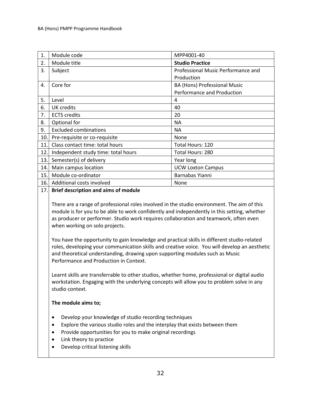| 1.  | Module code                         | MPP4001-40                         |
|-----|-------------------------------------|------------------------------------|
| 2.  | Module title                        | <b>Studio Practice</b>             |
| 3.  | Subject                             | Professional Music Performance and |
|     |                                     | Production                         |
| 4.  | Core for                            | BA (Hons) Professional Music       |
|     |                                     | Performance and Production         |
| 5.  | Level                               | 4                                  |
| 6.  | UK credits                          | 40                                 |
| 7.  | <b>ECTS</b> credits                 | 20                                 |
| 8.  | Optional for                        | <b>NA</b>                          |
| 9.  | <b>Excluded combinations</b>        | <b>NA</b>                          |
| 10. | Pre-requisite or co-requisite       | None                               |
| 11. | Class contact time: total hours     | Total Hours: 120                   |
| 12. | Independent study time: total hours | Total Hours: 280                   |
| 13. | Semester(s) of delivery             | Year long                          |
| 14. | Main campus location                | <b>UCW Loxton Campus</b>           |
| 15. | Module co-ordinator                 | Barnabas Yianni                    |
| 16. | Additional costs involved           | None                               |

#### 17. **Brief description and aims of module**

There are a range of professional roles involved in the studio environment. The aim of this module is for you to be able to work confidently and independently in this setting, whether as producer or performer. Studio work requires collaboration and teamwork, often even when working on solo projects.

You have the opportunity to gain knowledge and practical skills in different studio-related roles, developing your communication skills and creative voice. You will develop an aesthetic and theoretical understanding, drawing upon supporting modules such as Music Performance and Production in Context.

Learnt skills are transferrable to other studios, whether home, professional or digital audio workstation. Engaging with the underlying concepts will allow you to problem solve in any studio context.

#### **The module aims to;**

- Develop your knowledge of studio recording techniques
- Explore the various studio roles and the interplay that exists between them
- Provide opportunities for you to make original recordings
- Link theory to practice
- Develop critical listening skills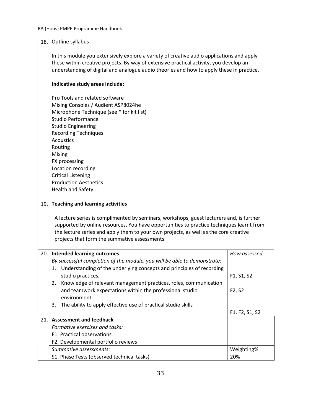| 18. | Outline syllabus                                                                                                                                                                                                                                                                                                                                                                     |                                 |
|-----|--------------------------------------------------------------------------------------------------------------------------------------------------------------------------------------------------------------------------------------------------------------------------------------------------------------------------------------------------------------------------------------|---------------------------------|
|     | In this module you extensively explore a variety of creative audio applications and apply<br>these within creative projects. By way of extensive practical activity, you develop an<br>understanding of digital and analogue audio theories and how to apply these in practice.                                                                                                      |                                 |
|     | Indicative study areas include:                                                                                                                                                                                                                                                                                                                                                      |                                 |
|     | Pro Tools and related software<br>Mixing Consoles / Audient ASP8024he<br>Microphone Technique (see * for kit list)<br><b>Studio Performance</b><br><b>Studio Engineering</b><br><b>Recording Techniques</b><br><b>Acoustics</b><br>Routing<br>Mixing<br>FX processing<br>Location recording<br><b>Critical Listening</b><br><b>Production Aesthetics</b><br><b>Health and Safety</b> |                                 |
|     |                                                                                                                                                                                                                                                                                                                                                                                      |                                 |
| 19. | <b>Teaching and learning activities</b>                                                                                                                                                                                                                                                                                                                                              |                                 |
|     | A lecture series is complimented by seminars, workshops, guest lecturers and, is further<br>supported by online resources. You have opportunities to practice techniques learnt from<br>the lecture series and apply them to your own projects, as well as the core creative<br>projects that form the summative assessments.                                                        |                                 |
| 20. | <b>Intended learning outcomes</b><br>By successful completion of the module, you will be able to demonstrate:<br>1. Understanding of the underlying concepts and principles of recording<br>studio practices,                                                                                                                                                                        | How assessed<br>F1, S1, S2      |
|     | Knowledge of relevant management practices, roles, communication<br>2.<br>and teamwork expectations within the professional studio<br>environment<br>The ability to apply effective use of practical studio skills<br>3.                                                                                                                                                             | F <sub>2</sub> , S <sub>2</sub> |
|     |                                                                                                                                                                                                                                                                                                                                                                                      | F1, F2, S1, S2                  |
| 21. | <b>Assessment and feedback</b>                                                                                                                                                                                                                                                                                                                                                       |                                 |
|     | Formative exercises and tasks:                                                                                                                                                                                                                                                                                                                                                       |                                 |
|     | F1. Practical observations                                                                                                                                                                                                                                                                                                                                                           |                                 |
|     | F2. Developmental portfolio reviews<br>Summative assessments:                                                                                                                                                                                                                                                                                                                        | Weighting%                      |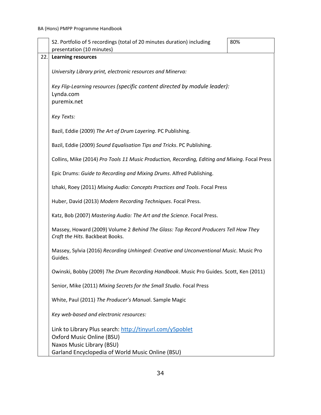| presentation (10 minutes)<br>22.<br><b>Learning resources</b><br>University Library print, electronic resources and Minerva:<br>Key Flip-Learning resources (specific content directed by module leader):<br>Lynda.com<br>puremix.net<br>Key Texts:<br>Bazil, Eddie (2009) The Art of Drum Layering. PC Publishing.<br>Bazil, Eddie (2009) Sound Equalisation Tips and Tricks. PC Publishing.<br>Collins, Mike (2014) Pro Tools 11 Music Production, Recording, Editing and Mixing. Focal Press<br>Epic Drums: Guide to Recording and Mixing Drums. Alfred Publishing.<br>Izhaki, Roey (2011) Mixing Audio: Concepts Practices and Tools. Focal Press<br>Huber, David (2013) Modern Recording Techniques. Focal Press.<br>Katz, Bob (2007) Mastering Audio: The Art and the Science. Focal Press.<br>Massey, Howard (2009) Volume 2 Behind The Glass: Top Record Producers Tell How They<br>Craft the Hits. Backbeat Books.<br>Massey, Sylvia (2016) Recording Unhinged: Creative and Unconventional Music. Music Pro<br>Guides.<br>Owinski, Bobby (2009) The Drum Recording Handbook. Music Pro Guides. Scott, Ken (2011) |
|----------------------------------------------------------------------------------------------------------------------------------------------------------------------------------------------------------------------------------------------------------------------------------------------------------------------------------------------------------------------------------------------------------------------------------------------------------------------------------------------------------------------------------------------------------------------------------------------------------------------------------------------------------------------------------------------------------------------------------------------------------------------------------------------------------------------------------------------------------------------------------------------------------------------------------------------------------------------------------------------------------------------------------------------------------------------------------------------------------------------------|
|                                                                                                                                                                                                                                                                                                                                                                                                                                                                                                                                                                                                                                                                                                                                                                                                                                                                                                                                                                                                                                                                                                                            |
|                                                                                                                                                                                                                                                                                                                                                                                                                                                                                                                                                                                                                                                                                                                                                                                                                                                                                                                                                                                                                                                                                                                            |
|                                                                                                                                                                                                                                                                                                                                                                                                                                                                                                                                                                                                                                                                                                                                                                                                                                                                                                                                                                                                                                                                                                                            |
|                                                                                                                                                                                                                                                                                                                                                                                                                                                                                                                                                                                                                                                                                                                                                                                                                                                                                                                                                                                                                                                                                                                            |
|                                                                                                                                                                                                                                                                                                                                                                                                                                                                                                                                                                                                                                                                                                                                                                                                                                                                                                                                                                                                                                                                                                                            |
|                                                                                                                                                                                                                                                                                                                                                                                                                                                                                                                                                                                                                                                                                                                                                                                                                                                                                                                                                                                                                                                                                                                            |
|                                                                                                                                                                                                                                                                                                                                                                                                                                                                                                                                                                                                                                                                                                                                                                                                                                                                                                                                                                                                                                                                                                                            |
|                                                                                                                                                                                                                                                                                                                                                                                                                                                                                                                                                                                                                                                                                                                                                                                                                                                                                                                                                                                                                                                                                                                            |
|                                                                                                                                                                                                                                                                                                                                                                                                                                                                                                                                                                                                                                                                                                                                                                                                                                                                                                                                                                                                                                                                                                                            |
|                                                                                                                                                                                                                                                                                                                                                                                                                                                                                                                                                                                                                                                                                                                                                                                                                                                                                                                                                                                                                                                                                                                            |
|                                                                                                                                                                                                                                                                                                                                                                                                                                                                                                                                                                                                                                                                                                                                                                                                                                                                                                                                                                                                                                                                                                                            |
|                                                                                                                                                                                                                                                                                                                                                                                                                                                                                                                                                                                                                                                                                                                                                                                                                                                                                                                                                                                                                                                                                                                            |
|                                                                                                                                                                                                                                                                                                                                                                                                                                                                                                                                                                                                                                                                                                                                                                                                                                                                                                                                                                                                                                                                                                                            |
|                                                                                                                                                                                                                                                                                                                                                                                                                                                                                                                                                                                                                                                                                                                                                                                                                                                                                                                                                                                                                                                                                                                            |
| Senior, Mike (2011) Mixing Secrets for the Small Studio. Focal Press                                                                                                                                                                                                                                                                                                                                                                                                                                                                                                                                                                                                                                                                                                                                                                                                                                                                                                                                                                                                                                                       |
| White, Paul (2011) The Producer's Manual. Sample Magic                                                                                                                                                                                                                                                                                                                                                                                                                                                                                                                                                                                                                                                                                                                                                                                                                                                                                                                                                                                                                                                                     |
| Key web-based and electronic resources:                                                                                                                                                                                                                                                                                                                                                                                                                                                                                                                                                                                                                                                                                                                                                                                                                                                                                                                                                                                                                                                                                    |
| Link to Library Plus search: http://tinyurl.com/y5poblet<br>Oxford Music Online (BSU)<br>Naxos Music Library (BSU)                                                                                                                                                                                                                                                                                                                                                                                                                                                                                                                                                                                                                                                                                                                                                                                                                                                                                                                                                                                                         |
| Garland Encyclopedia of World Music Online (BSU)                                                                                                                                                                                                                                                                                                                                                                                                                                                                                                                                                                                                                                                                                                                                                                                                                                                                                                                                                                                                                                                                           |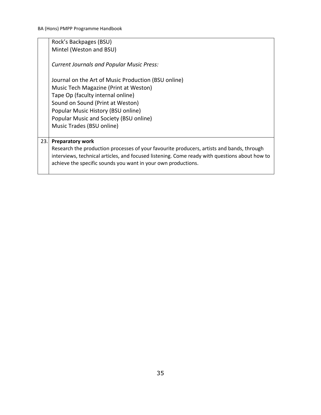Rock's Backpages (BSU) Mintel (Weston and BSU) *Current Journals and Popular Music Press:*

Journal on the Art of Music Production (BSU online) Music Tech Magazine (Print at Weston) Tape Op (faculty internal online) Sound on Sound (Print at Weston) Popular Music History (BSU online) Popular Music and Society (BSU online) Music Trades (BSU online)

#### 23. **Preparatory work**

Research the production processes of your favourite producers, artists and bands, through interviews, technical articles, and focused listening. Come ready with questions about how to achieve the specific sounds you want in your own productions.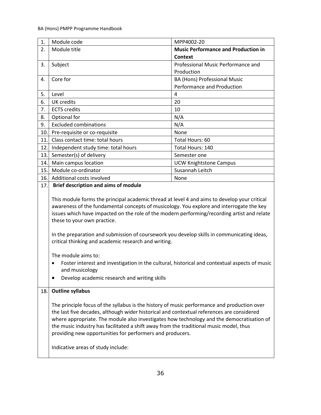| 1.  | Module code                                                                                                                                                                                                                                                                                                                                                                                                                                                                                                                                                                                                                                                            | MPP4002-20                                 |  |
|-----|------------------------------------------------------------------------------------------------------------------------------------------------------------------------------------------------------------------------------------------------------------------------------------------------------------------------------------------------------------------------------------------------------------------------------------------------------------------------------------------------------------------------------------------------------------------------------------------------------------------------------------------------------------------------|--------------------------------------------|--|
| 2.  | Module title                                                                                                                                                                                                                                                                                                                                                                                                                                                                                                                                                                                                                                                           | <b>Music Performance and Production in</b> |  |
|     |                                                                                                                                                                                                                                                                                                                                                                                                                                                                                                                                                                                                                                                                        | <b>Context</b>                             |  |
| 3.  | Subject                                                                                                                                                                                                                                                                                                                                                                                                                                                                                                                                                                                                                                                                | Professional Music Performance and         |  |
|     |                                                                                                                                                                                                                                                                                                                                                                                                                                                                                                                                                                                                                                                                        | Production                                 |  |
| 4.  | Core for                                                                                                                                                                                                                                                                                                                                                                                                                                                                                                                                                                                                                                                               | BA (Hons) Professional Music               |  |
|     |                                                                                                                                                                                                                                                                                                                                                                                                                                                                                                                                                                                                                                                                        | Performance and Production                 |  |
| 5.  | Level                                                                                                                                                                                                                                                                                                                                                                                                                                                                                                                                                                                                                                                                  | $\overline{4}$                             |  |
| 6.  | <b>UK</b> credits                                                                                                                                                                                                                                                                                                                                                                                                                                                                                                                                                                                                                                                      | 20                                         |  |
| 7.  | <b>ECTS</b> credits                                                                                                                                                                                                                                                                                                                                                                                                                                                                                                                                                                                                                                                    | 10                                         |  |
| 8.  | Optional for                                                                                                                                                                                                                                                                                                                                                                                                                                                                                                                                                                                                                                                           | N/A                                        |  |
| 9.  | <b>Excluded combinations</b>                                                                                                                                                                                                                                                                                                                                                                                                                                                                                                                                                                                                                                           | N/A                                        |  |
| 10. | Pre-requisite or co-requisite                                                                                                                                                                                                                                                                                                                                                                                                                                                                                                                                                                                                                                          | None                                       |  |
| 11. | Class contact time: total hours                                                                                                                                                                                                                                                                                                                                                                                                                                                                                                                                                                                                                                        | Total Hours: 60                            |  |
| 12. | Independent study time: total hours                                                                                                                                                                                                                                                                                                                                                                                                                                                                                                                                                                                                                                    | Total Hours: 140                           |  |
| 13. | Semester(s) of delivery                                                                                                                                                                                                                                                                                                                                                                                                                                                                                                                                                                                                                                                | Semester one                               |  |
| 14. | Main campus location                                                                                                                                                                                                                                                                                                                                                                                                                                                                                                                                                                                                                                                   | <b>UCW Knightstone Campus</b>              |  |
| 15. | Module co-ordinator                                                                                                                                                                                                                                                                                                                                                                                                                                                                                                                                                                                                                                                    | Susannah Leitch                            |  |
| 16. | Additional costs involved                                                                                                                                                                                                                                                                                                                                                                                                                                                                                                                                                                                                                                              | None                                       |  |
| 17. | <b>Brief description and aims of module</b>                                                                                                                                                                                                                                                                                                                                                                                                                                                                                                                                                                                                                            |                                            |  |
|     | This module forms the principal academic thread at level 4 and aims to develop your critical<br>awareness of the fundamental concepts of musicology. You explore and interrogate the key<br>issues which have impacted on the role of the modern performing/recording artist and relate<br>these to your own practice.<br>In the preparation and submission of coursework you develop skills in communicating ideas,<br>critical thinking and academic research and writing.<br>The module aims to:<br>Foster interest and investigation in the cultural, historical and contextual aspects of music<br>and musicology<br>Develop academic research and writing skills |                                            |  |
| 18. | <b>Outline syllabus</b>                                                                                                                                                                                                                                                                                                                                                                                                                                                                                                                                                                                                                                                |                                            |  |
|     | The principle focus of the syllabus is the history of music performance and production over<br>the last five decades, although wider historical and contextual references are considered<br>where appropriate. The module also investigates how technology and the democratisation of<br>the music industry has facilitated a shift away from the traditional music model, thus<br>providing new opportunities for performers and producers.<br>Indicative areas of study include:                                                                                                                                                                                     |                                            |  |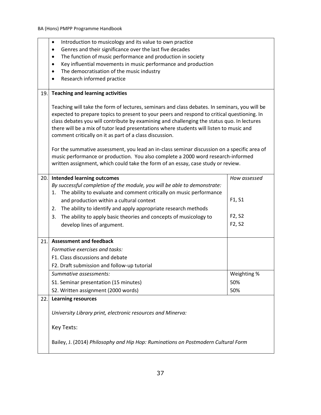|      | Introduction to musicology and its value to own practice<br>$\bullet$                                                                                                                                                                                                                                                                                                                                                                            |                                 |
|------|--------------------------------------------------------------------------------------------------------------------------------------------------------------------------------------------------------------------------------------------------------------------------------------------------------------------------------------------------------------------------------------------------------------------------------------------------|---------------------------------|
|      | Genres and their significance over the last five decades<br>$\bullet$                                                                                                                                                                                                                                                                                                                                                                            |                                 |
|      | The function of music performance and production in society<br>$\bullet$                                                                                                                                                                                                                                                                                                                                                                         |                                 |
|      | Key influential movements in music performance and production<br>٠                                                                                                                                                                                                                                                                                                                                                                               |                                 |
|      | The democratisation of the music industry<br>$\bullet$                                                                                                                                                                                                                                                                                                                                                                                           |                                 |
|      | Research informed practice<br>$\bullet$                                                                                                                                                                                                                                                                                                                                                                                                          |                                 |
| 19.  | <b>Teaching and learning activities</b>                                                                                                                                                                                                                                                                                                                                                                                                          |                                 |
|      | Teaching will take the form of lectures, seminars and class debates. In seminars, you will be<br>expected to prepare topics to present to your peers and respond to critical questioning. In<br>class debates you will contribute by examining and challenging the status quo. In lectures<br>there will be a mix of tutor lead presentations where students will listen to music and<br>comment critically on it as part of a class discussion. |                                 |
|      | For the summative assessment, you lead an in-class seminar discussion on a specific area of<br>music performance or production. You also complete a 2000 word research-informed<br>written assignment, which could take the form of an essay, case study or review.                                                                                                                                                                              |                                 |
| 20.1 | <b>Intended learning outcomes</b>                                                                                                                                                                                                                                                                                                                                                                                                                | How assessed                    |
|      | By successful completion of the module, you will be able to demonstrate:                                                                                                                                                                                                                                                                                                                                                                         |                                 |
|      | The ability to evaluate and comment critically on music performance<br>1.                                                                                                                                                                                                                                                                                                                                                                        |                                 |
|      | and production within a cultural context                                                                                                                                                                                                                                                                                                                                                                                                         | F1, S1                          |
|      | The ability to identify and apply appropriate research methods<br>2.                                                                                                                                                                                                                                                                                                                                                                             |                                 |
|      | The ability to apply basic theories and concepts of musicology to<br>3.                                                                                                                                                                                                                                                                                                                                                                          | F <sub>2</sub> , S <sub>2</sub> |
|      | develop lines of argument.                                                                                                                                                                                                                                                                                                                                                                                                                       | F2, S2                          |
| 21.  | <b>Assessment and feedback</b>                                                                                                                                                                                                                                                                                                                                                                                                                   |                                 |
|      | Formative exercises and tasks:                                                                                                                                                                                                                                                                                                                                                                                                                   |                                 |
|      | F1. Class discussions and debate                                                                                                                                                                                                                                                                                                                                                                                                                 |                                 |
|      | F2. Draft submission and follow-up tutorial                                                                                                                                                                                                                                                                                                                                                                                                      |                                 |
|      | Summative assessments:                                                                                                                                                                                                                                                                                                                                                                                                                           | Weighting %                     |
|      | S1. Seminar presentation (15 minutes)                                                                                                                                                                                                                                                                                                                                                                                                            | 50%                             |
|      | S2. Written assignment (2000 words)                                                                                                                                                                                                                                                                                                                                                                                                              | 50%                             |
| 22.  | <b>Learning resources</b>                                                                                                                                                                                                                                                                                                                                                                                                                        |                                 |
|      | University Library print, electronic resources and Minerva:                                                                                                                                                                                                                                                                                                                                                                                      |                                 |
|      | Key Texts:                                                                                                                                                                                                                                                                                                                                                                                                                                       |                                 |
|      | Bailey, J. (2014) Philosophy and Hip Hop: Ruminations on Postmodern Cultural Form                                                                                                                                                                                                                                                                                                                                                                |                                 |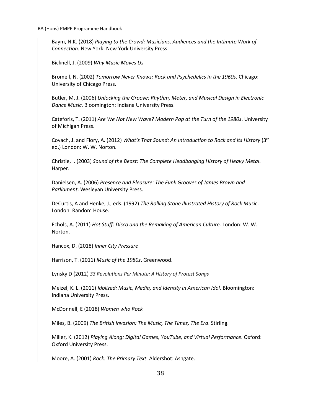Baym, N.K. (2018) *Playing to the Crowd: Musicians, Audiences and the Intimate Work of Connection.* New York: New York University Press

Bicknell, J. (2009) *Why Music Moves Us*

Bromell, N. (2002) *Tomorrow Never Knows: Rock and Psychedelics in the 1960s*. Chicago: University of Chicago Press.

Butler, M. J. (2006) *Unlocking the Groove: Rhythm, Meter, and Musical Design in Electronic Dance Music*. Bloomington: Indiana University Press.

Cateforis, T. (2011) *Are We Not New Wave? Modern Pop at the Turn of the 1980s*. University of Michigan Press.

Covach, J. and Flory, A. (2012) *What's That Sound: An Introduction to Rock and its History* (3rd ed.) London: W. W. Norton.

Christie, I. (2003) *Sound of the Beast: The Complete Headbanging History of Heavy Metal*. Harper.

Danielsen, A. (2006) *Presence and Pleasure: The Funk Grooves of James Brown and Parliament*. Wesleyan University Press.

DeCurtis, A and Henke, J., eds. (1992) *The Rolling Stone Illustrated History of Rock Music*. London: Random House.

Echols, A. (2011) *Hot Stuff: Disco and the Remaking of American Culture.* London: W. W. Norton.

Hancox, D. (2018) *Inner City Pressure*

Harrison, T. (2011) *Music of the 1980s*. Greenwood.

Lynsky D (2012) *33 Revolutions Per Minute: A History of Protest Songs*

Meizel, K. L. (2011) *Idolized: Music, Media, and Identity in American Idol.* Bloomington: Indiana University Press.

McDonnell, E (2018) *Women who Rock*

Miles, B. (2009) *The British Invasion: The Music, The Times, The Era*. Stirling.

Miller, K. (2012) *Playing Along: Digital Games, YouTube, and Virtual Performance*. Oxford: Oxford University Press.

Moore, A. (2001) *Rock: The Primary Text.* Aldershot: Ashgate.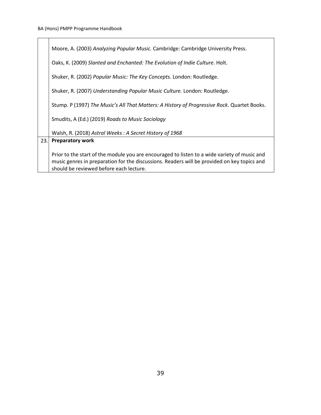|      | Moore, A. (2003) Analyzing Popular Music. Cambridge: Cambridge University Press.                                                                                                                                                       |  |
|------|----------------------------------------------------------------------------------------------------------------------------------------------------------------------------------------------------------------------------------------|--|
|      | Oaks, K. (2009) Slanted and Enchanted: The Evolution of Indie Culture. Holt.                                                                                                                                                           |  |
|      | Shuker, R. (2002) Popular Music: The Key Concepts. London: Routledge.                                                                                                                                                                  |  |
|      | Shuker, R. (2007) Understanding Popular Music Culture. London: Routledge.                                                                                                                                                              |  |
|      | Stump. P (1997) The Music's All That Matters: A History of Progressive Rock. Quartet Books.                                                                                                                                            |  |
|      | Smudits, A (Ed.) (2019) Roads to Music Sociology                                                                                                                                                                                       |  |
|      | Walsh, R. (2018) Astral Weeks: A Secret History of 1968                                                                                                                                                                                |  |
| 23.1 | <b>Preparatory work</b>                                                                                                                                                                                                                |  |
|      | Prior to the start of the module you are encouraged to listen to a wide variety of music and<br>music genres in preparation for the discussions. Readers will be provided on key topics and<br>should be reviewed before each lecture. |  |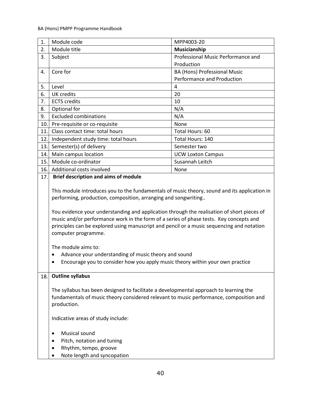| 1.  | Module code                                                                                                                                                                                                                                                                                                                                                                                                                                                                                                                                | MPP4003-20                         |
|-----|--------------------------------------------------------------------------------------------------------------------------------------------------------------------------------------------------------------------------------------------------------------------------------------------------------------------------------------------------------------------------------------------------------------------------------------------------------------------------------------------------------------------------------------------|------------------------------------|
| 2.  | Module title                                                                                                                                                                                                                                                                                                                                                                                                                                                                                                                               | Musicianship                       |
| 3.  | Subject                                                                                                                                                                                                                                                                                                                                                                                                                                                                                                                                    | Professional Music Performance and |
|     |                                                                                                                                                                                                                                                                                                                                                                                                                                                                                                                                            | Production                         |
| 4.  | Core for                                                                                                                                                                                                                                                                                                                                                                                                                                                                                                                                   | BA (Hons) Professional Music       |
|     |                                                                                                                                                                                                                                                                                                                                                                                                                                                                                                                                            | Performance and Production         |
| 5.  | Level                                                                                                                                                                                                                                                                                                                                                                                                                                                                                                                                      | 4                                  |
| 6.  | <b>UK</b> credits                                                                                                                                                                                                                                                                                                                                                                                                                                                                                                                          | 20                                 |
| 7.  | <b>ECTS</b> credits                                                                                                                                                                                                                                                                                                                                                                                                                                                                                                                        | 10                                 |
| 8.  | Optional for                                                                                                                                                                                                                                                                                                                                                                                                                                                                                                                               | N/A                                |
| 9.  | <b>Excluded combinations</b>                                                                                                                                                                                                                                                                                                                                                                                                                                                                                                               | N/A                                |
| 10. | Pre-requisite or co-requisite                                                                                                                                                                                                                                                                                                                                                                                                                                                                                                              | None                               |
| 11. | Class contact time: total hours                                                                                                                                                                                                                                                                                                                                                                                                                                                                                                            | Total Hours: 60                    |
| 12. | Independent study time: total hours                                                                                                                                                                                                                                                                                                                                                                                                                                                                                                        | Total Hours: 140                   |
| 13. | Semester(s) of delivery                                                                                                                                                                                                                                                                                                                                                                                                                                                                                                                    | Semester two                       |
| 14. | Main campus location                                                                                                                                                                                                                                                                                                                                                                                                                                                                                                                       | <b>UCW Loxton Campus</b>           |
| 15. | Module co-ordinator                                                                                                                                                                                                                                                                                                                                                                                                                                                                                                                        | Susannah Leitch                    |
| 16. | Additional costs involved                                                                                                                                                                                                                                                                                                                                                                                                                                                                                                                  | None                               |
| 17. | <b>Brief description and aims of module</b>                                                                                                                                                                                                                                                                                                                                                                                                                                                                                                |                                    |
|     | performing, production, composition, arranging and songwriting<br>You evidence your understanding and application through the realisation of short pieces of<br>music and/or performance work in the form of a series of phase tests. Key concepts and<br>principles can be explored using manuscript and pencil or a music sequencing and notation<br>computer programme.<br>The module aims to:<br>Advance your understanding of music theory and sound<br>Encourage you to consider how you apply music theory within your own practice |                                    |
| 18. | <b>Outline syllabus</b><br>The syllabus has been designed to facilitate a developmental approach to learning the<br>fundamentals of music theory considered relevant to music performance, composition and<br>production.<br>Indicative areas of study include:<br>Musical sound<br>٠<br>Pitch, notation and tuning<br>٠<br>Rhythm, tempo, groove<br>٠                                                                                                                                                                                     |                                    |
|     | Note length and syncopation                                                                                                                                                                                                                                                                                                                                                                                                                                                                                                                |                                    |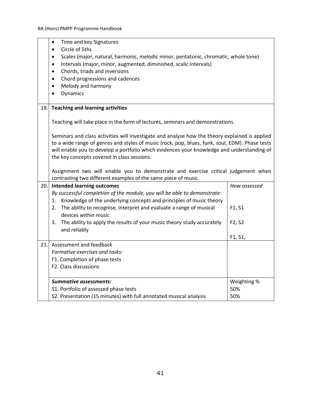|      | Time and key Signatures<br>$\bullet$<br>Circle of 5ths<br>$\bullet$<br>Scales (major, natural, harmonic, melodic minor, pentatonic, chromatic, whole tone)<br>$\bullet$<br>Intervals (major, minor, augmented, diminished, scalic intervals)<br>$\bullet$<br>Chords, triads and inversions<br>$\bullet$<br>Chord progressions and cadences<br>$\bullet$<br>Melody and harmony<br>$\bullet$<br>Dynamics |                                 |
|------|--------------------------------------------------------------------------------------------------------------------------------------------------------------------------------------------------------------------------------------------------------------------------------------------------------------------------------------------------------------------------------------------------------|---------------------------------|
| 19.  | <b>Teaching and learning activities</b>                                                                                                                                                                                                                                                                                                                                                                |                                 |
|      | Teaching will take place in the form of lectures, seminars and demonstrations.                                                                                                                                                                                                                                                                                                                         |                                 |
|      | Seminars and class activities will investigate and analyse how the theory explained is applied<br>to a wide range of genres and styles of music (rock, pop, blues, funk, soul, EDM). Phase tests<br>will enable you to develop a portfolio which evidences your knowledge and understanding of<br>the key concepts covered in class sessions.                                                          |                                 |
|      | Assignment two will enable you to demonstrate and exercise critical judgement when<br>contrasting two different examples of the same piece of music.                                                                                                                                                                                                                                                   |                                 |
| 20.1 | <b>Intended learning outcomes</b>                                                                                                                                                                                                                                                                                                                                                                      | How assessed                    |
|      | By successful completion of the module, you will be able to demonstrate:<br>Knowledge of the underlying concepts and principles of music theory<br>1.                                                                                                                                                                                                                                                  |                                 |
|      | The ability to recognise, interpret and evaluate a range of musical<br>2.<br>devices within music                                                                                                                                                                                                                                                                                                      | F1, S1                          |
|      | The ability to apply the results of your music theory study accurately<br>3.                                                                                                                                                                                                                                                                                                                           | F <sub>2</sub> , S <sub>2</sub> |
|      | and reliably                                                                                                                                                                                                                                                                                                                                                                                           | F1, S1,                         |
| 21.1 | Assessment and feedback                                                                                                                                                                                                                                                                                                                                                                                |                                 |
|      | Formative exercises and tasks:                                                                                                                                                                                                                                                                                                                                                                         |                                 |
|      | F1. Completion of phase tests                                                                                                                                                                                                                                                                                                                                                                          |                                 |
|      | F2. Class discussions                                                                                                                                                                                                                                                                                                                                                                                  |                                 |
|      | <b>Summative assessments:</b>                                                                                                                                                                                                                                                                                                                                                                          | Weighting %                     |
|      | S1. Portfolio of assessed phase tests                                                                                                                                                                                                                                                                                                                                                                  | 50%                             |
|      | S2. Presentation (15 minutes) with full annotated musical analysis                                                                                                                                                                                                                                                                                                                                     | 50%                             |

 $\overline{\phantom{a}}$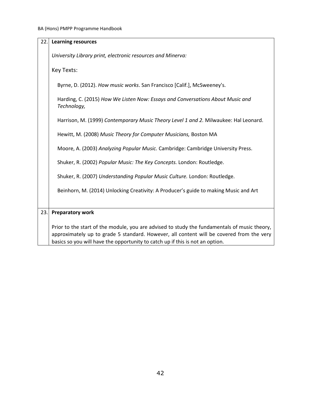| 22. | <b>Learning resources</b>                                                                                                                                                                                                                                                 |
|-----|---------------------------------------------------------------------------------------------------------------------------------------------------------------------------------------------------------------------------------------------------------------------------|
|     |                                                                                                                                                                                                                                                                           |
|     | University Library print, electronic resources and Minerva:                                                                                                                                                                                                               |
|     | Key Texts:                                                                                                                                                                                                                                                                |
|     | Byrne, D. (2012). How music works. San Francisco [Calif.], McSweeney's.                                                                                                                                                                                                   |
|     | Harding, C. (2015) How We Listen Now: Essays and Conversations About Music and<br>Technology,                                                                                                                                                                             |
|     | Harrison, M. (1999) Contemporary Music Theory Level 1 and 2. Milwaukee: Hal Leonard.                                                                                                                                                                                      |
|     | Hewitt, M. (2008) Music Theory for Computer Musicians, Boston MA                                                                                                                                                                                                          |
|     | Moore, A. (2003) Analyzing Popular Music. Cambridge: Cambridge University Press.                                                                                                                                                                                          |
|     | Shuker, R. (2002) Popular Music: The Key Concepts. London: Routledge.                                                                                                                                                                                                     |
|     | Shuker, R. (2007) Understanding Popular Music Culture. London: Routledge.                                                                                                                                                                                                 |
|     | Beinhorn, M. (2014) Unlocking Creativity: A Producer's guide to making Music and Art                                                                                                                                                                                      |
|     |                                                                                                                                                                                                                                                                           |
| 23. | <b>Preparatory work</b>                                                                                                                                                                                                                                                   |
|     | Prior to the start of the module, you are advised to study the fundamentals of music theory,<br>approximately up to grade 5 standard. However, all content will be covered from the very<br>basics so you will have the opportunity to catch up if this is not an option. |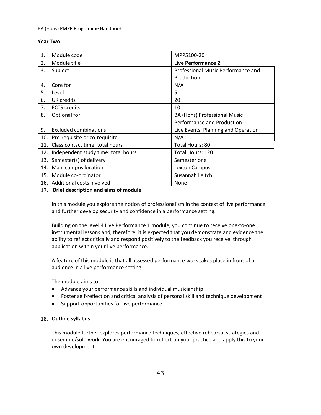## BA (Hons) PMPP Programme Handbook

# **Year Two**

| 1.  | Module code                                                                                                                                                                                                                                                                                                                                                                                                                                                                                                                                                                                                                                                                                                                                                                                                                                                                                                                 | MPP5100-20                          |
|-----|-----------------------------------------------------------------------------------------------------------------------------------------------------------------------------------------------------------------------------------------------------------------------------------------------------------------------------------------------------------------------------------------------------------------------------------------------------------------------------------------------------------------------------------------------------------------------------------------------------------------------------------------------------------------------------------------------------------------------------------------------------------------------------------------------------------------------------------------------------------------------------------------------------------------------------|-------------------------------------|
| 2.  | Module title                                                                                                                                                                                                                                                                                                                                                                                                                                                                                                                                                                                                                                                                                                                                                                                                                                                                                                                | <b>Live Performance 2</b>           |
| 3.  | Subject                                                                                                                                                                                                                                                                                                                                                                                                                                                                                                                                                                                                                                                                                                                                                                                                                                                                                                                     | Professional Music Performance and  |
|     |                                                                                                                                                                                                                                                                                                                                                                                                                                                                                                                                                                                                                                                                                                                                                                                                                                                                                                                             | Production                          |
| 4.  | Core for                                                                                                                                                                                                                                                                                                                                                                                                                                                                                                                                                                                                                                                                                                                                                                                                                                                                                                                    | N/A                                 |
| 5.  | Level                                                                                                                                                                                                                                                                                                                                                                                                                                                                                                                                                                                                                                                                                                                                                                                                                                                                                                                       | 5                                   |
| 6.  | <b>UK</b> credits                                                                                                                                                                                                                                                                                                                                                                                                                                                                                                                                                                                                                                                                                                                                                                                                                                                                                                           | 20                                  |
| 7.  | <b>ECTS</b> credits                                                                                                                                                                                                                                                                                                                                                                                                                                                                                                                                                                                                                                                                                                                                                                                                                                                                                                         | 10                                  |
| 8.  | Optional for                                                                                                                                                                                                                                                                                                                                                                                                                                                                                                                                                                                                                                                                                                                                                                                                                                                                                                                | BA (Hons) Professional Music        |
|     |                                                                                                                                                                                                                                                                                                                                                                                                                                                                                                                                                                                                                                                                                                                                                                                                                                                                                                                             | Performance and Production          |
| 9.  | <b>Excluded combinations</b>                                                                                                                                                                                                                                                                                                                                                                                                                                                                                                                                                                                                                                                                                                                                                                                                                                                                                                | Live Events: Planning and Operation |
| 10. | Pre-requisite or co-requisite                                                                                                                                                                                                                                                                                                                                                                                                                                                                                                                                                                                                                                                                                                                                                                                                                                                                                               | N/A                                 |
| 11. | Class contact time: total hours                                                                                                                                                                                                                                                                                                                                                                                                                                                                                                                                                                                                                                                                                                                                                                                                                                                                                             | Total Hours: 80                     |
| 12. | Independent study time: total hours                                                                                                                                                                                                                                                                                                                                                                                                                                                                                                                                                                                                                                                                                                                                                                                                                                                                                         | Total Hours: 120                    |
| 13. | Semester(s) of delivery                                                                                                                                                                                                                                                                                                                                                                                                                                                                                                                                                                                                                                                                                                                                                                                                                                                                                                     | Semester one                        |
| 14. | Main campus location                                                                                                                                                                                                                                                                                                                                                                                                                                                                                                                                                                                                                                                                                                                                                                                                                                                                                                        | <b>Loxton Campus</b>                |
| 15. | Module co-ordinator                                                                                                                                                                                                                                                                                                                                                                                                                                                                                                                                                                                                                                                                                                                                                                                                                                                                                                         | Susannah Leitch                     |
| 16. | Additional costs involved                                                                                                                                                                                                                                                                                                                                                                                                                                                                                                                                                                                                                                                                                                                                                                                                                                                                                                   | None                                |
|     | <b>Brief description and aims of module</b><br>In this module you explore the notion of professionalism in the context of live performance<br>and further develop security and confidence in a performance setting.<br>Building on the level 4 Live Performance 1 module, you continue to receive one-to-one<br>instrumental lessons and, therefore, it is expected that you demonstrate and evidence the<br>ability to reflect critically and respond positively to the feedback you receive, through<br>application within your live performance.<br>A feature of this module is that all assessed performance work takes place in front of an<br>audience in a live performance setting.<br>The module aims to:<br>Advance your performance skills and individual musicianship<br>Foster self-reflection and critical analysis of personal skill and technique development<br>Support opportunities for live performance |                                     |
| 18. | <b>Outline syllabus</b><br>This module further explores performance techniques, effective rehearsal strategies and<br>ensemble/solo work. You are encouraged to reflect on your practice and apply this to your<br>own development.                                                                                                                                                                                                                                                                                                                                                                                                                                                                                                                                                                                                                                                                                         |                                     |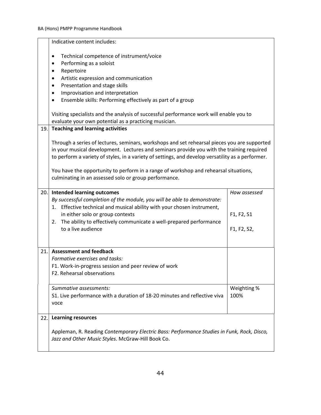|     | Indicative content includes:                                                                                                                                                                                                                                                                                                                                                                                                                    |                           |
|-----|-------------------------------------------------------------------------------------------------------------------------------------------------------------------------------------------------------------------------------------------------------------------------------------------------------------------------------------------------------------------------------------------------------------------------------------------------|---------------------------|
|     | Technical competence of instrument/voice<br>٠<br>Performing as a soloist<br>$\bullet$<br>Repertoire<br>$\bullet$<br>Artistic expression and communication<br>٠<br>Presentation and stage skills<br>٠<br>Improvisation and interpretation<br>$\bullet$<br>Ensemble skills: Performing effectively as part of a group<br>٠<br>Visiting specialists and the analysis of successful performance work will enable you to                             |                           |
|     | evaluate your own potential as a practicing musician.                                                                                                                                                                                                                                                                                                                                                                                           |                           |
| 19. | <b>Teaching and learning activities</b>                                                                                                                                                                                                                                                                                                                                                                                                         |                           |
|     | Through a series of lectures, seminars, workshops and set rehearsal pieces you are supported<br>in your musical development. Lectures and seminars provide you with the training required<br>to perform a variety of styles, in a variety of settings, and develop versatility as a performer.<br>You have the opportunity to perform in a range of workshop and rehearsal situations,<br>culminating in an assessed solo or group performance. |                           |
| 20. | <b>Intended learning outcomes</b>                                                                                                                                                                                                                                                                                                                                                                                                               | How assessed              |
|     | By successful completion of the module, you will be able to demonstrate:<br>1. Effective technical and musical ability with your chosen instrument,<br>in either solo or group contexts<br>The ability to effectively communicate a well-prepared performance<br>2.<br>to a live audience                                                                                                                                                       | F1, F2, S1<br>F1, F2, S2, |
| 21. | <b>Assessment and feedback</b>                                                                                                                                                                                                                                                                                                                                                                                                                  |                           |
|     | Formative exercises and tasks:<br>F1. Work-in-progress session and peer review of work<br>F2. Rehearsal observations                                                                                                                                                                                                                                                                                                                            |                           |
|     | Summative assessments:<br>S1. Live performance with a duration of 18-20 minutes and reflective viva<br>voce                                                                                                                                                                                                                                                                                                                                     | Weighting %<br>100%       |
| 22. | <b>Learning resources</b>                                                                                                                                                                                                                                                                                                                                                                                                                       |                           |
|     | Appleman, R. Reading Contemporary Electric Bass: Performance Studies in Funk, Rock, Disco,<br>Jazz and Other Music Styles. McGraw-Hill Book Co.                                                                                                                                                                                                                                                                                                 |                           |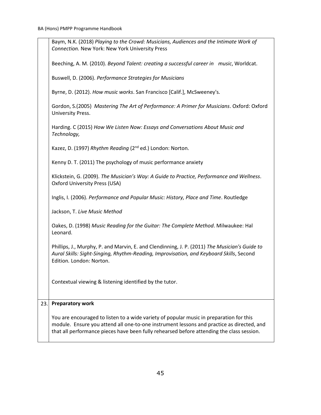|     | Baym, N.K. (2018) Playing to the Crowd: Musicians, Audiences and the Intimate Work of<br>Connection. New York: New York University Press                                                                                                                                          |
|-----|-----------------------------------------------------------------------------------------------------------------------------------------------------------------------------------------------------------------------------------------------------------------------------------|
|     | Beeching, A. M. (2010). Beyond Talent: creating a successful career in music, Worldcat.                                                                                                                                                                                           |
|     | Buswell, D. (2006). Performance Strategies for Musicians                                                                                                                                                                                                                          |
|     | Byrne, D. (2012). How music works. San Francisco [Calif.], McSweeney's.                                                                                                                                                                                                           |
|     | Gordon, S.(2005) Mastering The Art of Performance: A Primer for Musicians. Oxford: Oxford<br>University Press.                                                                                                                                                                    |
|     | Harding. C (2015) How We Listen Now: Essays and Conversations About Music and<br>Technology,                                                                                                                                                                                      |
|     | Kazez, D. (1997) Rhythm Reading (2 <sup>nd</sup> ed.) London: Norton.                                                                                                                                                                                                             |
|     | Kenny D. T. (2011) The psychology of music performance anxiety                                                                                                                                                                                                                    |
|     | Klickstein, G. (2009). The Musician's Way: A Guide to Practice, Performance and Wellness.<br><b>Oxford University Press (USA)</b>                                                                                                                                                 |
|     | Inglis, I. (2006). Performance and Popular Music: History, Place and Time. Routledge                                                                                                                                                                                              |
|     | Jackson, T. Live Music Method                                                                                                                                                                                                                                                     |
|     | Oakes, D. (1998) Music Reading for the Guitar: The Complete Method. Milwaukee: Hal<br>Leonard.                                                                                                                                                                                    |
|     | Phillips, J., Murphy, P. and Marvin, E. and Clendinning, J. P. (2011) The Musician's Guide to<br>Aural Skills: Sight-Singing, Rhythm-Reading, Improvisation, and Keyboard Skills, Second<br>Edition. London: Norton.                                                              |
|     | Contextual viewing & listening identified by the tutor.                                                                                                                                                                                                                           |
| 23. | <b>Preparatory work</b>                                                                                                                                                                                                                                                           |
|     | You are encouraged to listen to a wide variety of popular music in preparation for this<br>module. Ensure you attend all one-to-one instrument lessons and practice as directed, and<br>that all performance pieces have been fully rehearsed before attending the class session. |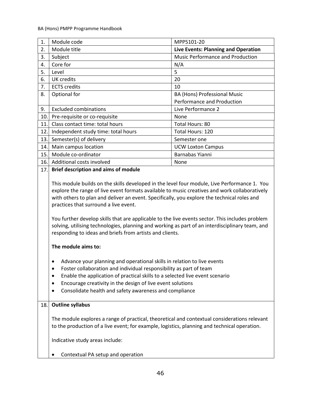| 1.  | Module code                                                                                                                                                                                                                                                                                                                                                                                                                                                                                                                                                                                                                                                                                                                                                                                                                                                                                                                                                                                                                                   | MPP5101-20                              |
|-----|-----------------------------------------------------------------------------------------------------------------------------------------------------------------------------------------------------------------------------------------------------------------------------------------------------------------------------------------------------------------------------------------------------------------------------------------------------------------------------------------------------------------------------------------------------------------------------------------------------------------------------------------------------------------------------------------------------------------------------------------------------------------------------------------------------------------------------------------------------------------------------------------------------------------------------------------------------------------------------------------------------------------------------------------------|-----------------------------------------|
| 2.  | Module title                                                                                                                                                                                                                                                                                                                                                                                                                                                                                                                                                                                                                                                                                                                                                                                                                                                                                                                                                                                                                                  | Live Events: Planning and Operation     |
| 3.  | Subject                                                                                                                                                                                                                                                                                                                                                                                                                                                                                                                                                                                                                                                                                                                                                                                                                                                                                                                                                                                                                                       | <b>Music Performance and Production</b> |
| 4.  | Core for                                                                                                                                                                                                                                                                                                                                                                                                                                                                                                                                                                                                                                                                                                                                                                                                                                                                                                                                                                                                                                      | N/A                                     |
| 5.  | Level                                                                                                                                                                                                                                                                                                                                                                                                                                                                                                                                                                                                                                                                                                                                                                                                                                                                                                                                                                                                                                         | 5                                       |
| 6.  | <b>UK</b> credits                                                                                                                                                                                                                                                                                                                                                                                                                                                                                                                                                                                                                                                                                                                                                                                                                                                                                                                                                                                                                             | 20                                      |
| 7.  | <b>ECTS</b> credits                                                                                                                                                                                                                                                                                                                                                                                                                                                                                                                                                                                                                                                                                                                                                                                                                                                                                                                                                                                                                           | 10                                      |
| 8.  | Optional for                                                                                                                                                                                                                                                                                                                                                                                                                                                                                                                                                                                                                                                                                                                                                                                                                                                                                                                                                                                                                                  | BA (Hons) Professional Music            |
|     |                                                                                                                                                                                                                                                                                                                                                                                                                                                                                                                                                                                                                                                                                                                                                                                                                                                                                                                                                                                                                                               | Performance and Production              |
| 9.  | <b>Excluded combinations</b>                                                                                                                                                                                                                                                                                                                                                                                                                                                                                                                                                                                                                                                                                                                                                                                                                                                                                                                                                                                                                  | Live Performance 2                      |
| 10. | Pre-requisite or co-requisite                                                                                                                                                                                                                                                                                                                                                                                                                                                                                                                                                                                                                                                                                                                                                                                                                                                                                                                                                                                                                 | None                                    |
| 11. | Class contact time: total hours                                                                                                                                                                                                                                                                                                                                                                                                                                                                                                                                                                                                                                                                                                                                                                                                                                                                                                                                                                                                               | Total Hours: 80                         |
| 12. | Independent study time: total hours                                                                                                                                                                                                                                                                                                                                                                                                                                                                                                                                                                                                                                                                                                                                                                                                                                                                                                                                                                                                           | Total Hours: 120                        |
| 13. | Semester(s) of delivery                                                                                                                                                                                                                                                                                                                                                                                                                                                                                                                                                                                                                                                                                                                                                                                                                                                                                                                                                                                                                       | Semester one                            |
| 14. | Main campus location                                                                                                                                                                                                                                                                                                                                                                                                                                                                                                                                                                                                                                                                                                                                                                                                                                                                                                                                                                                                                          | <b>UCW Loxton Campus</b>                |
| 15. | Module co-ordinator                                                                                                                                                                                                                                                                                                                                                                                                                                                                                                                                                                                                                                                                                                                                                                                                                                                                                                                                                                                                                           | Barnabas Yianni                         |
| 16. | Additional costs involved                                                                                                                                                                                                                                                                                                                                                                                                                                                                                                                                                                                                                                                                                                                                                                                                                                                                                                                                                                                                                     | None                                    |
|     | <b>Brief description and aims of module</b><br>17.<br>This module builds on the skills developed in the level four module, Live Performance 1. You<br>explore the range of live event formats available to music creatives and work collaboratively<br>with others to plan and deliver an event. Specifically, you explore the technical roles and<br>practices that surround a live event.<br>You further develop skills that are applicable to the live events sector. This includes problem<br>solving, utilising technologies, planning and working as part of an interdisciplinary team, and<br>responding to ideas and briefs from artists and clients.<br>The module aims to:<br>Advance your planning and operational skills in relation to live events<br>Foster collaboration and individual responsibility as part of team<br>Enable the application of practical skills to a selected live event scenario<br>Encourage creativity in the design of live event solutions<br>Consolidate health and safety awareness and compliance |                                         |
| 18. | <b>Outline syllabus</b><br>The module explores a range of practical, theoretical and contextual considerations relevant<br>to the production of a live event; for example, logistics, planning and technical operation.<br>Indicative study areas include:<br>Contextual PA setup and operation                                                                                                                                                                                                                                                                                                                                                                                                                                                                                                                                                                                                                                                                                                                                               |                                         |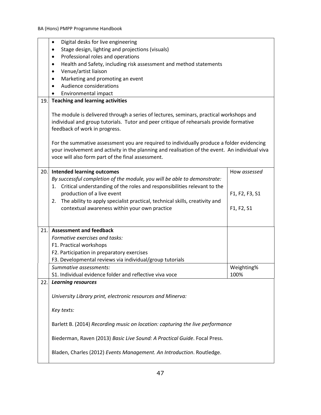|     | Digital desks for live engineering<br>$\bullet$                                                                                                                                                                                                                                                                  |                |
|-----|------------------------------------------------------------------------------------------------------------------------------------------------------------------------------------------------------------------------------------------------------------------------------------------------------------------|----------------|
|     | Stage design, lighting and projections (visuals)<br>$\bullet$                                                                                                                                                                                                                                                    |                |
|     | Professional roles and operations<br>$\bullet$                                                                                                                                                                                                                                                                   |                |
|     | Health and Safety, including risk assessment and method statements<br>٠                                                                                                                                                                                                                                          |                |
|     | Venue/artist liaison<br>$\bullet$                                                                                                                                                                                                                                                                                |                |
|     | Marketing and promoting an event<br>$\bullet$                                                                                                                                                                                                                                                                    |                |
|     | Audience considerations                                                                                                                                                                                                                                                                                          |                |
|     | Environmental impact                                                                                                                                                                                                                                                                                             |                |
| 19. | <b>Teaching and learning activities</b>                                                                                                                                                                                                                                                                          |                |
|     | The module is delivered through a series of lectures, seminars, practical workshops and<br>individual and group tutorials. Tutor and peer critique of rehearsals provide formative<br>feedback of work in progress.<br>For the summative assessment you are required to individually produce a folder evidencing |                |
|     | your involvement and activity in the planning and realisation of the event. An individual viva<br>voce will also form part of the final assessment.                                                                                                                                                              |                |
| 20. | <b>Intended learning outcomes</b>                                                                                                                                                                                                                                                                                | How assessed   |
|     | By successful completion of the module, you will be able to demonstrate:                                                                                                                                                                                                                                         |                |
|     | Critical understanding of the roles and responsibilities relevant to the<br>1.                                                                                                                                                                                                                                   |                |
|     | production of a live event                                                                                                                                                                                                                                                                                       | F1, F2, F3, S1 |
|     | The ability to apply specialist practical, technical skills, creativity and<br>2.                                                                                                                                                                                                                                |                |
|     | contextual awareness within your own practice                                                                                                                                                                                                                                                                    | F1, F2, S1     |
|     |                                                                                                                                                                                                                                                                                                                  |                |
| 21. | <b>Assessment and feedback</b>                                                                                                                                                                                                                                                                                   |                |
|     | Formative exercises and tasks:                                                                                                                                                                                                                                                                                   |                |
|     | F1. Practical workshops                                                                                                                                                                                                                                                                                          |                |
|     | F2. Participation in preparatory exercises                                                                                                                                                                                                                                                                       |                |
|     | F3. Developmental reviews via individual/group tutorials                                                                                                                                                                                                                                                         |                |
|     | Summative assessments:                                                                                                                                                                                                                                                                                           | Weighting%     |
|     | S1. Individual evidence folder and reflective viva voce                                                                                                                                                                                                                                                          | 100%           |
| 22. | <b>Learning resources</b>                                                                                                                                                                                                                                                                                        |                |
|     |                                                                                                                                                                                                                                                                                                                  |                |
|     | University Library print, electronic resources and Minerva:                                                                                                                                                                                                                                                      |                |
|     | Key texts:                                                                                                                                                                                                                                                                                                       |                |
|     | Barlett B. (2014) Recording music on location: capturing the live performance                                                                                                                                                                                                                                    |                |
|     | Biederman, Raven (2013) Basic Live Sound: A Practical Guide. Focal Press.                                                                                                                                                                                                                                        |                |
|     | Bladen, Charles (2012) Events Management. An Introduction. Routledge.                                                                                                                                                                                                                                            |                |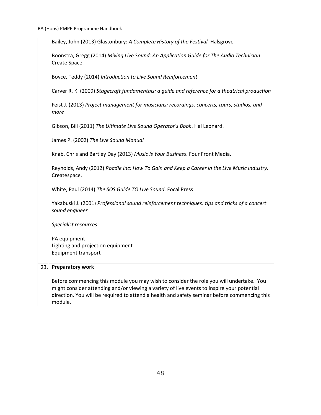|     | Bailey, John (2013) Glastonbury: A Complete History of the Festival. Halsgrove                                                                                                                                                                                                                   |
|-----|--------------------------------------------------------------------------------------------------------------------------------------------------------------------------------------------------------------------------------------------------------------------------------------------------|
|     | Boonstra, Gregg (2014) Mixing Live Sound: An Application Guide for The Audio Technician.<br>Create Space.                                                                                                                                                                                        |
|     | Boyce, Teddy (2014) Introduction to Live Sound Reinforcement                                                                                                                                                                                                                                     |
|     | Carver R. K. (2009) Stagecraft fundamentals: a guide and reference for a theatrical production                                                                                                                                                                                                   |
|     | Feist J. (2013) Project management for musicians: recordings, concerts, tours, studios, and<br>more                                                                                                                                                                                              |
|     | Gibson, Bill (2011) The Ultimate Live Sound Operator's Book. Hal Leonard.                                                                                                                                                                                                                        |
|     | James P. (2002) The Live Sound Manual                                                                                                                                                                                                                                                            |
|     | Knab, Chris and Bartley Day (2013) Music Is Your Business. Four Front Media.                                                                                                                                                                                                                     |
|     | Reynolds, Andy (2012) Roadie Inc: How To Gain and Keep a Career in the Live Music Industry.<br>Createspace.                                                                                                                                                                                      |
|     | White, Paul (2014) The SOS Guide TO Live Sound. Focal Press                                                                                                                                                                                                                                      |
|     | Yakabuski J. (2001) Professional sound reinforcement techniques: tips and tricks of a concert<br>sound engineer                                                                                                                                                                                  |
|     | Specialist resources:                                                                                                                                                                                                                                                                            |
|     | PA equipment                                                                                                                                                                                                                                                                                     |
|     | Lighting and projection equipment                                                                                                                                                                                                                                                                |
|     | <b>Equipment transport</b>                                                                                                                                                                                                                                                                       |
| 23. | <b>Preparatory work</b>                                                                                                                                                                                                                                                                          |
|     | Before commencing this module you may wish to consider the role you will undertake. You<br>might consider attending and/or viewing a variety of live events to inspire your potential<br>direction. You will be required to attend a health and safety seminar before commencing this<br>module. |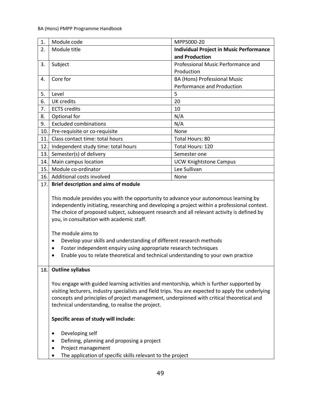| 1.  | Module code                                                                                                                                                                                                                                                                                                                                                                                                                                                                                                                                                                                                                    | MPP5000-20                                     |
|-----|--------------------------------------------------------------------------------------------------------------------------------------------------------------------------------------------------------------------------------------------------------------------------------------------------------------------------------------------------------------------------------------------------------------------------------------------------------------------------------------------------------------------------------------------------------------------------------------------------------------------------------|------------------------------------------------|
| 2.  | Module title                                                                                                                                                                                                                                                                                                                                                                                                                                                                                                                                                                                                                   | <b>Individual Project in Music Performance</b> |
|     |                                                                                                                                                                                                                                                                                                                                                                                                                                                                                                                                                                                                                                | and Production                                 |
| 3.  | Subject                                                                                                                                                                                                                                                                                                                                                                                                                                                                                                                                                                                                                        | Professional Music Performance and             |
|     |                                                                                                                                                                                                                                                                                                                                                                                                                                                                                                                                                                                                                                | Production                                     |
| 4.  | Core for                                                                                                                                                                                                                                                                                                                                                                                                                                                                                                                                                                                                                       | BA (Hons) Professional Music                   |
|     |                                                                                                                                                                                                                                                                                                                                                                                                                                                                                                                                                                                                                                | Performance and Production                     |
| 5.  | Level                                                                                                                                                                                                                                                                                                                                                                                                                                                                                                                                                                                                                          | 5                                              |
| 6.  | <b>UK</b> credits                                                                                                                                                                                                                                                                                                                                                                                                                                                                                                                                                                                                              | 20                                             |
| 7.  | <b>ECTS</b> credits                                                                                                                                                                                                                                                                                                                                                                                                                                                                                                                                                                                                            | 10                                             |
| 8.  | Optional for                                                                                                                                                                                                                                                                                                                                                                                                                                                                                                                                                                                                                   | N/A                                            |
| 9.  | <b>Excluded combinations</b>                                                                                                                                                                                                                                                                                                                                                                                                                                                                                                                                                                                                   | N/A                                            |
| 10. | Pre-requisite or co-requisite                                                                                                                                                                                                                                                                                                                                                                                                                                                                                                                                                                                                  | None                                           |
| 11. | Class contact time: total hours                                                                                                                                                                                                                                                                                                                                                                                                                                                                                                                                                                                                | Total Hours: 80                                |
| 12. | Independent study time: total hours                                                                                                                                                                                                                                                                                                                                                                                                                                                                                                                                                                                            | Total Hours: 120                               |
| 13. | Semester(s) of delivery                                                                                                                                                                                                                                                                                                                                                                                                                                                                                                                                                                                                        | Semester one                                   |
| 14. | Main campus location                                                                                                                                                                                                                                                                                                                                                                                                                                                                                                                                                                                                           | <b>UCW Knightstone Campus</b>                  |
| 15. | Module co-ordinator                                                                                                                                                                                                                                                                                                                                                                                                                                                                                                                                                                                                            | Lee Sullivan                                   |
| 16. | Additional costs involved                                                                                                                                                                                                                                                                                                                                                                                                                                                                                                                                                                                                      | None                                           |
| 17. | <b>Brief description and aims of module</b>                                                                                                                                                                                                                                                                                                                                                                                                                                                                                                                                                                                    |                                                |
|     | This module provides you with the opportunity to advance your autonomous learning by<br>independently initiating, researching and developing a project within a professional context.<br>The choice of proposed subject, subsequent research and all relevant activity is defined by<br>you, in consultation with academic staff.<br>The module aims to<br>Develop your skills and understanding of different research methods<br>$\bullet$<br>Foster independent enquiry using appropriate research techniques<br>$\bullet$<br>Enable you to relate theoretical and technical understanding to your own practice<br>$\bullet$ |                                                |
| 18. | <b>Outline syllabus</b>                                                                                                                                                                                                                                                                                                                                                                                                                                                                                                                                                                                                        |                                                |
|     | You engage with guided learning activities and mentorship, which is further supported by<br>visiting lecturers, industry specialists and field trips. You are expected to apply the underlying<br>concepts and principles of project management, underpinned with critical theoretical and<br>technical understanding, to realise the project.                                                                                                                                                                                                                                                                                 |                                                |
|     | Specific areas of study will include:                                                                                                                                                                                                                                                                                                                                                                                                                                                                                                                                                                                          |                                                |
|     | Developing self<br>Defining, planning and proposing a project<br>٠<br>Project management<br>٠<br>The application of specific skills relevant to the project                                                                                                                                                                                                                                                                                                                                                                                                                                                                    |                                                |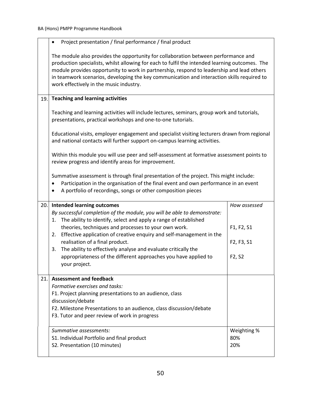|     | Project presentation / final performance / final product                                                                                                                                                                                                                                                                                                                                                                   |                                 |
|-----|----------------------------------------------------------------------------------------------------------------------------------------------------------------------------------------------------------------------------------------------------------------------------------------------------------------------------------------------------------------------------------------------------------------------------|---------------------------------|
|     | The module also provides the opportunity for collaboration between performance and<br>production specialists, whilst allowing for each to fulfil the intended learning outcomes. The<br>module provides opportunity to work in partnership, respond to leadership and lead others<br>in teamwork scenarios, developing the key communication and interaction skills required to<br>work effectively in the music industry. |                                 |
| 19. | <b>Teaching and learning activities</b>                                                                                                                                                                                                                                                                                                                                                                                    |                                 |
|     | Teaching and learning activities will include lectures, seminars, group work and tutorials,<br>presentations, practical workshops and one-to-one tutorials.                                                                                                                                                                                                                                                                |                                 |
|     | Educational visits, employer engagement and specialist visiting lecturers drawn from regional<br>and national contacts will further support on-campus learning activities.                                                                                                                                                                                                                                                 |                                 |
|     | Within this module you will use peer and self-assessment at formative assessment points to<br>review progress and identify areas for improvement.                                                                                                                                                                                                                                                                          |                                 |
|     | Summative assessment is through final presentation of the project. This might include:<br>Participation in the organisation of the final event and own performance in an event<br>٠<br>A portfolio of recordings, songs or other composition pieces                                                                                                                                                                        |                                 |
| 20. | <b>Intended learning outcomes</b>                                                                                                                                                                                                                                                                                                                                                                                          | How assessed                    |
|     | By successful completion of the module, you will be able to demonstrate:<br>The ability to identify, select and apply a range of established<br>1.                                                                                                                                                                                                                                                                         |                                 |
|     | theories, techniques and processes to your own work.                                                                                                                                                                                                                                                                                                                                                                       | F1, F2, S1                      |
|     | Effective application of creative enquiry and self-management in the<br>2.<br>realisation of a final product.<br>The ability to effectively analyse and evaluate critically the<br>3.                                                                                                                                                                                                                                      | F2, F3, S1                      |
|     | appropriateness of the different approaches you have applied to<br>your project.                                                                                                                                                                                                                                                                                                                                           | F <sub>2</sub> , S <sub>2</sub> |
| 21. | <b>Assessment and feedback</b><br>Formative exercises and tasks:<br>F1. Project planning presentations to an audience, class<br>discussion/debate<br>F2. Milestone Presentations to an audience, class discussion/debate<br>F3. Tutor and peer review of work in progress                                                                                                                                                  |                                 |
|     | Summative assessments:<br>S1. Individual Portfolio and final product<br>S2. Presentation (10 minutes)                                                                                                                                                                                                                                                                                                                      | Weighting %<br>80%<br>20%       |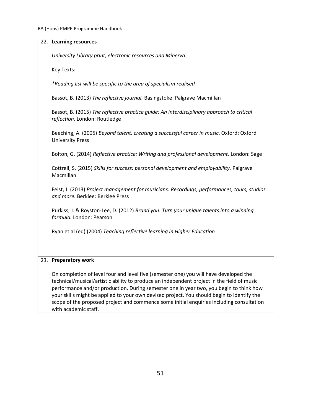| 22.1 | <b>Learning resources</b>                                                                                                                                                                                                                                                                                                                                                                                                                                                                       |
|------|-------------------------------------------------------------------------------------------------------------------------------------------------------------------------------------------------------------------------------------------------------------------------------------------------------------------------------------------------------------------------------------------------------------------------------------------------------------------------------------------------|
|      | University Library print, electronic resources and Minerva:                                                                                                                                                                                                                                                                                                                                                                                                                                     |
|      | Key Texts:                                                                                                                                                                                                                                                                                                                                                                                                                                                                                      |
|      | *Reading list will be specific to the area of specialism realised                                                                                                                                                                                                                                                                                                                                                                                                                               |
|      | Bassot, B. (2013) The reflective journal. Basingstoke: Palgrave Macmillan                                                                                                                                                                                                                                                                                                                                                                                                                       |
|      | Bassot, B. (2015) The reflective practice quide: An interdisciplinary approach to critical<br>reflection. London: Routledge                                                                                                                                                                                                                                                                                                                                                                     |
|      | Beeching, A. (2005) Beyond talent: creating a successful career in music. Oxford: Oxford<br><b>University Press</b>                                                                                                                                                                                                                                                                                                                                                                             |
|      | Bolton, G. (2014) Reflective practice: Writing and professional development. London: Sage                                                                                                                                                                                                                                                                                                                                                                                                       |
|      | Cottrell, S. (2015) Skills for success: personal development and employability. Palgrave<br>Macmillan                                                                                                                                                                                                                                                                                                                                                                                           |
|      | Feist, J. (2013) Project management for musicians: Recordings, performances, tours, studios<br>and more. Berklee: Berklee Press                                                                                                                                                                                                                                                                                                                                                                 |
|      | Purkiss, J. & Royston-Lee, D. (2012) Brand you: Turn your unique talents into a winning<br>formula. London: Pearson                                                                                                                                                                                                                                                                                                                                                                             |
|      | Ryan et al (ed) (2004) Teaching reflective learning in Higher Education                                                                                                                                                                                                                                                                                                                                                                                                                         |
|      |                                                                                                                                                                                                                                                                                                                                                                                                                                                                                                 |
| 23.  | <b>Preparatory work</b>                                                                                                                                                                                                                                                                                                                                                                                                                                                                         |
|      | On completion of level four and level five (semester one) you will have developed the<br>technical/musical/artistic ability to produce an independent project in the field of music<br>performance and/or production. During semester one in year two, you begin to think how<br>your skills might be applied to your own devised project. You should begin to identify the<br>scope of the proposed project and commence some initial enquiries including consultation<br>with academic staff. |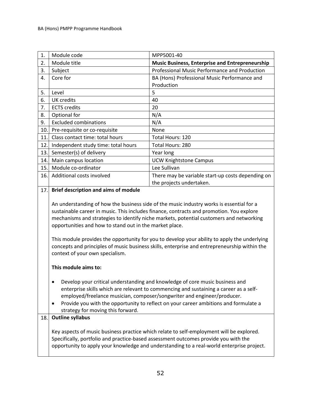| 1.  | Module code                                                                                                                                                  | MPP5001-40                                                                                                                                                                                                                                                                                                                                                                                                                                                                                                                                                                                                                                                                                                                                                                                                                  |
|-----|--------------------------------------------------------------------------------------------------------------------------------------------------------------|-----------------------------------------------------------------------------------------------------------------------------------------------------------------------------------------------------------------------------------------------------------------------------------------------------------------------------------------------------------------------------------------------------------------------------------------------------------------------------------------------------------------------------------------------------------------------------------------------------------------------------------------------------------------------------------------------------------------------------------------------------------------------------------------------------------------------------|
| 2.  | Module title                                                                                                                                                 | <b>Music Business, Enterprise and Entrepreneurship</b>                                                                                                                                                                                                                                                                                                                                                                                                                                                                                                                                                                                                                                                                                                                                                                      |
| 3.  | Subject                                                                                                                                                      | Professional Music Performance and Production                                                                                                                                                                                                                                                                                                                                                                                                                                                                                                                                                                                                                                                                                                                                                                               |
| 4.  | Core for                                                                                                                                                     | BA (Hons) Professional Music Performance and                                                                                                                                                                                                                                                                                                                                                                                                                                                                                                                                                                                                                                                                                                                                                                                |
|     |                                                                                                                                                              | Production                                                                                                                                                                                                                                                                                                                                                                                                                                                                                                                                                                                                                                                                                                                                                                                                                  |
| 5.  | Level                                                                                                                                                        | 5                                                                                                                                                                                                                                                                                                                                                                                                                                                                                                                                                                                                                                                                                                                                                                                                                           |
| 6.  | <b>UK</b> credits                                                                                                                                            | 40                                                                                                                                                                                                                                                                                                                                                                                                                                                                                                                                                                                                                                                                                                                                                                                                                          |
| 7.  | <b>ECTS</b> credits                                                                                                                                          | 20                                                                                                                                                                                                                                                                                                                                                                                                                                                                                                                                                                                                                                                                                                                                                                                                                          |
| 8.  | Optional for                                                                                                                                                 | N/A                                                                                                                                                                                                                                                                                                                                                                                                                                                                                                                                                                                                                                                                                                                                                                                                                         |
| 9.  | <b>Excluded combinations</b>                                                                                                                                 | N/A                                                                                                                                                                                                                                                                                                                                                                                                                                                                                                                                                                                                                                                                                                                                                                                                                         |
| 10. | Pre-requisite or co-requisite                                                                                                                                | None                                                                                                                                                                                                                                                                                                                                                                                                                                                                                                                                                                                                                                                                                                                                                                                                                        |
| 11. | Class contact time: total hours                                                                                                                              | Total Hours: 120                                                                                                                                                                                                                                                                                                                                                                                                                                                                                                                                                                                                                                                                                                                                                                                                            |
| 12. | Independent study time: total hours                                                                                                                          | Total Hours: 280                                                                                                                                                                                                                                                                                                                                                                                                                                                                                                                                                                                                                                                                                                                                                                                                            |
| 13. | Semester(s) of delivery                                                                                                                                      | Year long                                                                                                                                                                                                                                                                                                                                                                                                                                                                                                                                                                                                                                                                                                                                                                                                                   |
| 14. | Main campus location                                                                                                                                         | <b>UCW Knightstone Campus</b>                                                                                                                                                                                                                                                                                                                                                                                                                                                                                                                                                                                                                                                                                                                                                                                               |
| 15. | Module co-ordinator                                                                                                                                          | Lee Sullivan                                                                                                                                                                                                                                                                                                                                                                                                                                                                                                                                                                                                                                                                                                                                                                                                                |
| 16. | Additional costs involved                                                                                                                                    | There may be variable start-up costs depending on                                                                                                                                                                                                                                                                                                                                                                                                                                                                                                                                                                                                                                                                                                                                                                           |
|     |                                                                                                                                                              | the projects undertaken.                                                                                                                                                                                                                                                                                                                                                                                                                                                                                                                                                                                                                                                                                                                                                                                                    |
|     | opportunities and how to stand out in the market place.<br>context of your own specialism.<br>This module aims to:<br>٠<br>strategy for moving this forward. | An understanding of how the business side of the music industry works is essential for a<br>sustainable career in music. This includes finance, contracts and promotion. You explore<br>mechanisms and strategies to identify niche markets, potential customers and networking<br>This module provides the opportunity for you to develop your ability to apply the underlying<br>concepts and principles of music business skills, enterprise and entrepreneurship within the<br>Develop your critical understanding and knowledge of core music business and<br>enterprise skills which are relevant to commencing and sustaining a career as a self-<br>employed/freelance musician, composer/songwriter and engineer/producer.<br>Provide you with the opportunity to reflect on your career ambitions and formulate a |
| 18. | <b>Outline syllabus</b>                                                                                                                                      |                                                                                                                                                                                                                                                                                                                                                                                                                                                                                                                                                                                                                                                                                                                                                                                                                             |
|     |                                                                                                                                                              | Key aspects of music business practice which relate to self-employment will be explored.<br>Specifically, portfolio and practice-based assessment outcomes provide you with the<br>opportunity to apply your knowledge and understanding to a real-world enterprise project.                                                                                                                                                                                                                                                                                                                                                                                                                                                                                                                                                |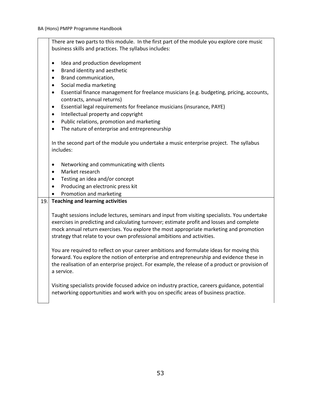There are two parts to this module. In the first part of the module you explore core music business skills and practices. The syllabus includes:

- Idea and production development
- Brand identity and aesthetic
- Brand communication,
- Social media marketing
- Essential finance management for freelance musicians (e.g. budgeting, pricing, accounts, contracts, annual returns)
- Essential legal requirements for freelance musicians (insurance, PAYE)
- Intellectual property and copyright
- Public relations, promotion and marketing
- The nature of enterprise and entrepreneurship

In the second part of the module you undertake a music enterprise project. The syllabus includes:

- Networking and communicating with clients
- Market research
- Testing an idea and/or concept
- Producing an electronic press kit
- Promotion and marketing

### 19. **Teaching and learning activities**

Taught sessions include lectures, seminars and input from visiting specialists. You undertake exercises in predicting and calculating turnover; estimate profit and losses and complete mock annual return exercises. You explore the most appropriate marketing and promotion strategy that relate to your own professional ambitions and activities.

You are required to reflect on your career ambitions and formulate ideas for moving this forward. You explore the notion of enterprise and entrepreneurship and evidence these in the realisation of an enterprise project. For example, the release of a product or provision of a service.

Visiting specialists provide focused advice on industry practice, careers guidance, potential networking opportunities and work with you on specific areas of business practice.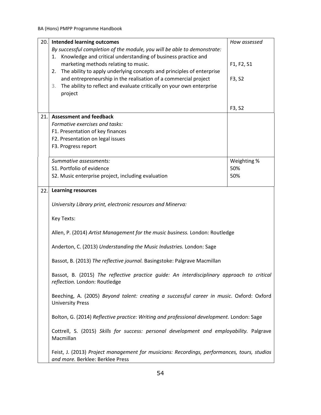| 20. | <b>Intended learning outcomes</b>                                                                                               | How assessed |
|-----|---------------------------------------------------------------------------------------------------------------------------------|--------------|
|     | By successful completion of the module, you will be able to demonstrate:                                                        |              |
|     | 1. Knowledge and critical understanding of business practice and                                                                |              |
|     | marketing methods relating to music.                                                                                            | F1, F2, S1   |
|     | The ability to apply underlying concepts and principles of enterprise<br>2.                                                     |              |
|     | and entrepreneurship in the realisation of a commercial project                                                                 | F3, S2       |
|     | The ability to reflect and evaluate critically on your own enterprise<br>3.                                                     |              |
|     | project                                                                                                                         |              |
|     |                                                                                                                                 |              |
|     |                                                                                                                                 | F3, S2       |
| 21. | <b>Assessment and feedback</b>                                                                                                  |              |
|     | Formative exercises and tasks:                                                                                                  |              |
|     | F1. Presentation of key finances                                                                                                |              |
|     | F2. Presentation on legal issues                                                                                                |              |
|     | F3. Progress report                                                                                                             |              |
|     |                                                                                                                                 |              |
|     | Summative assessments:                                                                                                          | Weighting %  |
|     | S1. Portfolio of evidence                                                                                                       | 50%          |
|     | S2. Music enterprise project, including evaluation                                                                              | 50%          |
|     |                                                                                                                                 |              |
| 22. | <b>Learning resources</b>                                                                                                       |              |
|     |                                                                                                                                 |              |
|     | University Library print, electronic resources and Minerva:                                                                     |              |
|     |                                                                                                                                 |              |
|     | Key Texts:                                                                                                                      |              |
|     | Allen, P. (2014) Artist Management for the music business. London: Routledge                                                    |              |
|     |                                                                                                                                 |              |
|     | Anderton, C. (2013) Understanding the Music Industries. London: Sage                                                            |              |
|     | Bassot, B. (2013) The reflective journal. Basingstoke: Palgrave Macmillan                                                       |              |
|     | Bassot, B. (2015) The reflective practice guide: An interdisciplinary approach to critical<br>reflection. London: Routledge     |              |
|     | Beeching, A. (2005) Beyond talent: creating a successful career in music. Oxford: Oxford<br><b>University Press</b>             |              |
|     | Bolton, G. (2014) Reflective practice: Writing and professional development. London: Sage                                       |              |
|     | Cottrell, S. (2015) Skills for success: personal development and employability. Palgrave<br>Macmillan                           |              |
|     | Feist, J. (2013) Project management for musicians: Recordings, performances, tours, studios<br>and more. Berklee: Berklee Press |              |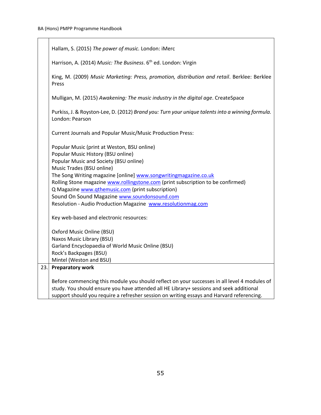T

| Hallam, S. (2015) The power of music. London: iMerc                                                                                                                                                                                                                                                                                                                                                                                                                                   |
|---------------------------------------------------------------------------------------------------------------------------------------------------------------------------------------------------------------------------------------------------------------------------------------------------------------------------------------------------------------------------------------------------------------------------------------------------------------------------------------|
| Harrison, A. (2014) Music: The Business. 6 <sup>th</sup> ed. London: Virgin                                                                                                                                                                                                                                                                                                                                                                                                           |
| King, M. (2009) Music Marketing: Press, promotion, distribution and retail. Berklee: Berklee<br>Press                                                                                                                                                                                                                                                                                                                                                                                 |
| Mulligan, M. (2015) Awakening: The music industry in the digital age. CreateSpace                                                                                                                                                                                                                                                                                                                                                                                                     |
| Purkiss, J. & Royston-Lee, D. (2012) Brand you: Turn your unique talents into a winning formula.<br>London: Pearson                                                                                                                                                                                                                                                                                                                                                                   |
| <b>Current Journals and Popular Music/Music Production Press:</b>                                                                                                                                                                                                                                                                                                                                                                                                                     |
| Popular Music (print at Weston, BSU online)<br>Popular Music History (BSU online)<br>Popular Music and Society (BSU online)<br>Music Trades (BSU online)<br>The Song Writing magazine [online] www.songwritingmagazine.co.uk<br>Rolling Stone magazine www.rollingstone.com (print subscription to be confirmed)<br>Q Magazine www.qthemusic.com (print subscription)<br>Sound On Sound Magazine www.soundonsound.com<br>Resolution - Audio Production Magazine www.resolutionmag.com |
| Key web-based and electronic resources:<br>Oxford Music Online (BSU)<br>Naxos Music Library (BSU)<br>Garland Encyclopaedia of World Music Online (BSU)<br>Rock's Backpages (BSU)<br>Mintel (Weston and BSU)                                                                                                                                                                                                                                                                           |
| 23. Preparatory work                                                                                                                                                                                                                                                                                                                                                                                                                                                                  |
| Before commencing this module you should reflect on your successes in all level 4 modules of<br>study. You should ensure you have attended all HE Library+ sessions and seek additional<br>support should you require a refresher session on writing essays and Harvard referencing.                                                                                                                                                                                                  |

٦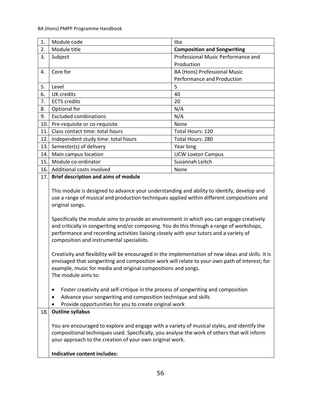| 1.  | Module code                                                                                                                                                                                                                                                                                                                                                                                                                                                                                                                                                                                                                                                                                                             | tba                                |
|-----|-------------------------------------------------------------------------------------------------------------------------------------------------------------------------------------------------------------------------------------------------------------------------------------------------------------------------------------------------------------------------------------------------------------------------------------------------------------------------------------------------------------------------------------------------------------------------------------------------------------------------------------------------------------------------------------------------------------------------|------------------------------------|
| 2.  | Module title                                                                                                                                                                                                                                                                                                                                                                                                                                                                                                                                                                                                                                                                                                            | <b>Composition and Songwriting</b> |
| 3.  | Subject                                                                                                                                                                                                                                                                                                                                                                                                                                                                                                                                                                                                                                                                                                                 | Professional Music Performance and |
|     |                                                                                                                                                                                                                                                                                                                                                                                                                                                                                                                                                                                                                                                                                                                         | Production                         |
| 4.  | Core for                                                                                                                                                                                                                                                                                                                                                                                                                                                                                                                                                                                                                                                                                                                | BA (Hons) Professional Music       |
|     |                                                                                                                                                                                                                                                                                                                                                                                                                                                                                                                                                                                                                                                                                                                         | Performance and Production         |
| 5.  | Level                                                                                                                                                                                                                                                                                                                                                                                                                                                                                                                                                                                                                                                                                                                   | 5                                  |
| 6.  | <b>UK</b> credits                                                                                                                                                                                                                                                                                                                                                                                                                                                                                                                                                                                                                                                                                                       | 40                                 |
| 7.  | <b>ECTS</b> credits                                                                                                                                                                                                                                                                                                                                                                                                                                                                                                                                                                                                                                                                                                     | 20                                 |
| 8.  | Optional for                                                                                                                                                                                                                                                                                                                                                                                                                                                                                                                                                                                                                                                                                                            | N/A                                |
| 9.  | <b>Excluded combinations</b>                                                                                                                                                                                                                                                                                                                                                                                                                                                                                                                                                                                                                                                                                            | N/A                                |
| 10. | Pre-requisite or co-requisite                                                                                                                                                                                                                                                                                                                                                                                                                                                                                                                                                                                                                                                                                           | None                               |
| 11. | Class contact time: total hours                                                                                                                                                                                                                                                                                                                                                                                                                                                                                                                                                                                                                                                                                         | Total Hours: 120                   |
| 12. | Independent study time: total hours                                                                                                                                                                                                                                                                                                                                                                                                                                                                                                                                                                                                                                                                                     | Total Hours: 280                   |
| 13. | Semester(s) of delivery                                                                                                                                                                                                                                                                                                                                                                                                                                                                                                                                                                                                                                                                                                 | Year long                          |
| 14. | Main campus location                                                                                                                                                                                                                                                                                                                                                                                                                                                                                                                                                                                                                                                                                                    | <b>UCW Loxton Campus</b>           |
| 15. | Module co-ordinator                                                                                                                                                                                                                                                                                                                                                                                                                                                                                                                                                                                                                                                                                                     | Susannah Leitch                    |
| 16. | Additional costs involved                                                                                                                                                                                                                                                                                                                                                                                                                                                                                                                                                                                                                                                                                               | None                               |
| 17. | <b>Brief description and aims of module</b>                                                                                                                                                                                                                                                                                                                                                                                                                                                                                                                                                                                                                                                                             |                                    |
|     | use a range of musical and production techniques applied within different compositions and<br>original songs.<br>Specifically the module aims to provide an environment in which you can engage creatively<br>and critically in songwriting and/or composing. You do this through a range of workshops,<br>performance and recording activities liaising closely with your tutors and a variety of<br>composition and instrumental specialists.<br>Creativity and flexibility will be encouraged in the implementation of new ideas and skills. It is<br>envisaged that songwriting and composition work will relate to your own path of interest; for<br>example, music for media and original compositions and songs. |                                    |
| 18. | The module aims to:<br>Foster creativity and self-critique in the process of songwriting and composition<br>٠<br>Advance your songwriting and composition technique and skills<br>٠<br>Provide opportunities for you to create original work<br><b>Outline syllabus</b><br>You are encouraged to explore and engage with a variety of musical styles, and identify the                                                                                                                                                                                                                                                                                                                                                  |                                    |
|     | compositional techniques used. Specifically, you analyse the work of others that will inform<br>your approach to the creation of your own original work.<br>Indicative content includes:                                                                                                                                                                                                                                                                                                                                                                                                                                                                                                                                |                                    |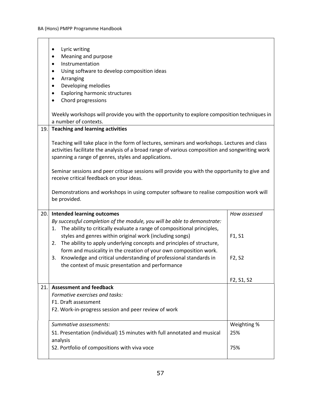BA (Hons) PMPP Programme Handbook

|      | Lyric writing<br>٠                                                                              |                                                  |
|------|-------------------------------------------------------------------------------------------------|--------------------------------------------------|
|      | Meaning and purpose<br>$\bullet$                                                                |                                                  |
|      | Instrumentation<br>$\bullet$                                                                    |                                                  |
|      | Using software to develop composition ideas<br>٠                                                |                                                  |
|      | Arranging<br>٠                                                                                  |                                                  |
|      | Developing melodies<br>$\bullet$                                                                |                                                  |
|      | <b>Exploring harmonic structures</b><br>$\bullet$<br>Chord progressions                         |                                                  |
|      |                                                                                                 |                                                  |
|      | Weekly workshops will provide you with the opportunity to explore composition techniques in     |                                                  |
|      | a number of contexts.                                                                           |                                                  |
| 19.  | <b>Teaching and learning activities</b>                                                         |                                                  |
|      | Teaching will take place in the form of lectures, seminars and workshops. Lectures and class    |                                                  |
|      | activities facilitate the analysis of a broad range of various composition and songwriting work |                                                  |
|      | spanning a range of genres, styles and applications.                                            |                                                  |
|      |                                                                                                 |                                                  |
|      | Seminar sessions and peer critique sessions will provide you with the opportunity to give and   |                                                  |
|      | receive critical feedback on your ideas.                                                        |                                                  |
|      | Demonstrations and workshops in using computer software to realise composition work will        |                                                  |
|      | be provided.                                                                                    |                                                  |
|      |                                                                                                 |                                                  |
| 20.  | <b>Intended learning outcomes</b>                                                               | How assessed                                     |
|      | By successful completion of the module, you will be able to demonstrate:                        |                                                  |
|      | The ability to critically evaluate a range of compositional principles,<br>1.                   |                                                  |
|      | styles and genres within original work (including songs)                                        | F1, S1                                           |
|      | The ability to apply underlying concepts and principles of structure,<br>2.                     |                                                  |
|      | form and musicality in the creation of your own composition work.                               |                                                  |
|      | Knowledge and critical understanding of professional standards in<br>3.                         | F2, S2                                           |
|      | the context of music presentation and performance                                               |                                                  |
|      |                                                                                                 |                                                  |
|      | <b>Assessment and feedback</b>                                                                  | F <sub>2</sub> , S <sub>1</sub> , S <sub>2</sub> |
| 21.1 | Formative exercises and tasks:                                                                  |                                                  |
|      | F1. Draft assessment                                                                            |                                                  |
|      | F2. Work-in-progress session and peer review of work                                            |                                                  |
|      |                                                                                                 |                                                  |
|      | Summative assessments:                                                                          | Weighting %                                      |
|      | S1. Presentation (individual) 15 minutes with full annotated and musical                        | 25%                                              |
|      | analysis                                                                                        |                                                  |
|      | S2. Portfolio of compositions with viva voce                                                    | 75%                                              |
|      |                                                                                                 |                                                  |

٦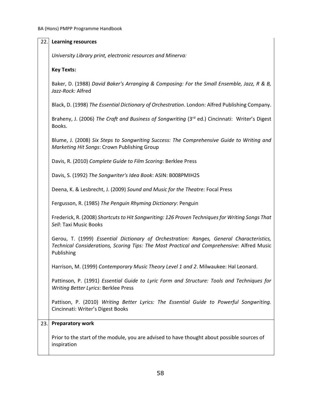| 22. | <b>Learning resources</b>                                                                                                                                                                            |
|-----|------------------------------------------------------------------------------------------------------------------------------------------------------------------------------------------------------|
|     | University Library print, electronic resources and Minerva:                                                                                                                                          |
|     | <b>Key Texts:</b>                                                                                                                                                                                    |
|     | Baker, D. (1988) David Baker's Arranging & Composing: For the Small Ensemble, Jazz, R & B,<br>Jazz-Rock: Alfred                                                                                      |
|     | Black, D. (1998) The Essential Dictionary of Orchestration. London: Alfred Publishing Company.                                                                                                       |
|     | Braheny, J. (2006) The Craft and Business of Songwriting (3rd ed.) Cincinnati: Writer's Digest<br>Books.                                                                                             |
|     | Blume, J. (2008) Six Steps to Songwriting Success: The Comprehensive Guide to Writing and<br>Marketing Hit Songs: Crown Publishing Group                                                             |
|     | Davis, R. (2010) Complete Guide to Film Scoring: Berklee Press                                                                                                                                       |
|     | Davis, S. (1992) The Songwriter's Idea Book: ASIN: B008PMIH2S                                                                                                                                        |
|     | Deena, K. & Lesbrecht, J. (2009) Sound and Music for the Theatre: Focal Press                                                                                                                        |
|     | Fergusson, R. (1985) The Penguin Rhyming Dictionary: Penguin                                                                                                                                         |
|     | Frederick, R. (2008) Shortcuts to Hit Songwriting: 126 Proven Techniques for Writing Songs That<br>Sell: Taxi Music Books                                                                            |
|     | Gerou, T. (1999) Essential Dictionary of Orchestration: Ranges, General Characteristics,<br>Technical Considerations, Scoring Tips: The Most Practical and Comprehensive: Alfred Music<br>Publishing |
|     | Harrison, M. (1999) Contemporary Music Theory Level 1 and 2. Milwaukee: Hal Leonard.                                                                                                                 |
|     | Pattinson, P. (1991) Essential Guide to Lyric Form and Structure: Tools and Techniques for<br><b>Writing Better Lyrics: Berklee Press</b>                                                            |
|     | Pattison, P. (2010) Writing Better Lyrics: The Essential Guide to Powerful Songwriting.<br>Cincinnati: Writer's Digest Books                                                                         |
| 23. | <b>Preparatory work</b>                                                                                                                                                                              |
|     | Prior to the start of the module, you are advised to have thought about possible sources of<br>inspiration                                                                                           |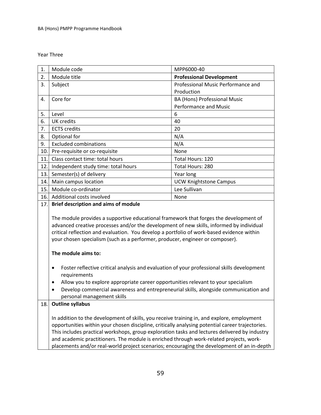Year Three

| 1.  | Module code                                 | MPP6000-40                         |
|-----|---------------------------------------------|------------------------------------|
| 2.  | Module title                                | <b>Professional Development</b>    |
| 3.  | Subject                                     | Professional Music Performance and |
|     |                                             | Production                         |
| 4.  | Core for                                    | BA (Hons) Professional Music       |
|     |                                             | Performance and Music              |
| 5.  | Level                                       | 6                                  |
| 6.  | UK credits                                  | 40                                 |
| 7.  | <b>ECTS</b> credits                         | 20                                 |
| 8.  | Optional for                                | N/A                                |
| 9.  | <b>Excluded combinations</b>                | N/A                                |
| 10. | Pre-requisite or co-requisite               | None                               |
| 11. | Class contact time: total hours             | Total Hours: 120                   |
| 12. | Independent study time: total hours         | Total Hours: 280                   |
| 13. | Semester(s) of delivery                     | Year long                          |
| 14. | Main campus location                        | <b>UCW Knightstone Campus</b>      |
| 15. | Module co-ordinator                         | Lee Sullivan                       |
| 16. | Additional costs involved                   | None                               |
| 17. | <b>Brief description and aims of module</b> |                                    |

The module provides a supportive educational framework that forges the development of advanced creative processes and/or the development of new skills, informed by individual critical reflection and evaluation. You develop a portfolio of work-based evidence within your chosen specialism (such as a performer, producer, engineer or composer).

#### **The module aims to:**

- Foster reflective critical analysis and evaluation of your professional skills development requirements
- Allow you to explore appropriate career opportunities relevant to your specialism
- Develop commercial awareness and entrepreneurial skills, alongside communication and personal management skills

## 18. **Outline syllabus**

In addition to the development of skills, you receive training in, and explore, employment opportunities within your chosen discipline, critically analysing potential career trajectories. This includes practical workshops, group exploration tasks and lectures delivered by industry and academic practitioners. The module is enriched through work-related projects, workplacements and/or real-world project scenarios; encouraging the development of an in-depth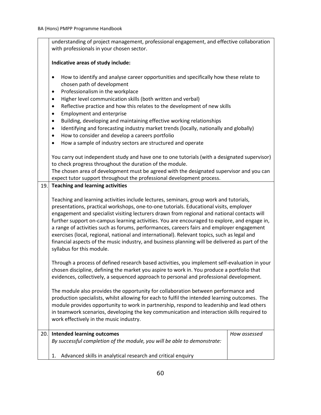|      | understanding of project management, professional engagement, and effective collaboration                                                                                                                                                                                                                                                                                                                                                                                                                                                                                                                                                                                                                                                       |              |
|------|-------------------------------------------------------------------------------------------------------------------------------------------------------------------------------------------------------------------------------------------------------------------------------------------------------------------------------------------------------------------------------------------------------------------------------------------------------------------------------------------------------------------------------------------------------------------------------------------------------------------------------------------------------------------------------------------------------------------------------------------------|--------------|
|      | with professionals in your chosen sector.                                                                                                                                                                                                                                                                                                                                                                                                                                                                                                                                                                                                                                                                                                       |              |
|      | Indicative areas of study include:                                                                                                                                                                                                                                                                                                                                                                                                                                                                                                                                                                                                                                                                                                              |              |
|      | How to identify and analyse career opportunities and specifically how these relate to<br>$\bullet$<br>chosen path of development<br>Professionalism in the workplace<br>$\bullet$<br>Higher level communication skills (both written and verbal)<br>$\bullet$<br>Reflective practice and how this relates to the development of new skills<br>$\bullet$<br><b>Employment and enterprise</b><br>$\bullet$<br>Building, developing and maintaining effective working relationships<br>$\bullet$<br>Identifying and forecasting industry market trends (locally, nationally and globally)<br>$\bullet$<br>How to consider and develop a careers portfolio<br>$\bullet$<br>How a sample of industry sectors are structured and operate<br>$\bullet$ |              |
|      | You carry out independent study and have one to one tutorials (with a designated supervisor)                                                                                                                                                                                                                                                                                                                                                                                                                                                                                                                                                                                                                                                    |              |
|      | to check progress throughout the duration of the module.<br>The chosen area of development must be agreed with the designated supervisor and you can                                                                                                                                                                                                                                                                                                                                                                                                                                                                                                                                                                                            |              |
|      | expect tutor support throughout the professional development process.                                                                                                                                                                                                                                                                                                                                                                                                                                                                                                                                                                                                                                                                           |              |
| 19.1 | <b>Teaching and learning activities</b>                                                                                                                                                                                                                                                                                                                                                                                                                                                                                                                                                                                                                                                                                                         |              |
|      | Teaching and learning activities include lectures, seminars, group work and tutorials,<br>presentations, practical workshops, one-to-one tutorials. Educational visits, employer<br>engagement and specialist visiting lecturers drawn from regional and national contacts will<br>further support on-campus learning activities. You are encouraged to explore, and engage in,<br>a range of activities such as forums, performances, careers fairs and employer engagement<br>exercises (local, regional, national and international). Relevant topics, such as legal and<br>financial aspects of the music industry, and business planning will be delivered as part of the<br>syllabus for this module.                                     |              |
|      | Through a process of defined research based activities, you implement self-evaluation in your<br>chosen discipline, defining the market you aspire to work in. You produce a portfolio that<br>evidences, collectively, a sequenced approach to personal and professional development.                                                                                                                                                                                                                                                                                                                                                                                                                                                          |              |
|      | The module also provides the opportunity for collaboration between performance and<br>production specialists, whilst allowing for each to fulfil the intended learning outcomes. The<br>module provides opportunity to work in partnership, respond to leadership and lead others<br>in teamwork scenarios, developing the key communication and interaction skills required to<br>work effectively in the music industry.                                                                                                                                                                                                                                                                                                                      |              |
| 20.1 | <b>Intended learning outcomes</b>                                                                                                                                                                                                                                                                                                                                                                                                                                                                                                                                                                                                                                                                                                               | How assessed |
|      | By successful completion of the module, you will be able to demonstrate:                                                                                                                                                                                                                                                                                                                                                                                                                                                                                                                                                                                                                                                                        |              |
|      | Advanced skills in analytical research and critical enquiry<br>1.                                                                                                                                                                                                                                                                                                                                                                                                                                                                                                                                                                                                                                                                               |              |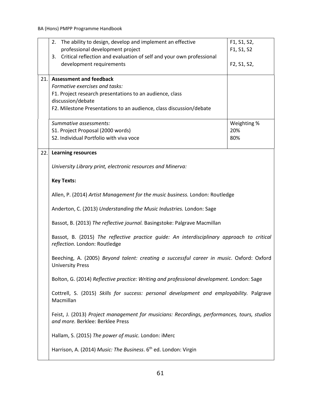|     | 2. The ability to design, develop and implement an effective                                                                    | F1, S1, S2, |
|-----|---------------------------------------------------------------------------------------------------------------------------------|-------------|
|     | professional development project                                                                                                | F1, S1, S2  |
|     | Critical reflection and evaluation of self and your own professional<br>3.                                                      |             |
|     | development requirements                                                                                                        | F2, S1, S2, |
| 21. | <b>Assessment and feedback</b>                                                                                                  |             |
|     | Formative exercises and tasks:                                                                                                  |             |
|     | F1. Project research presentations to an audience, class                                                                        |             |
|     | discussion/debate<br>F2. Milestone Presentations to an audience, class discussion/debate                                        |             |
|     |                                                                                                                                 |             |
|     | Summative assessments:                                                                                                          | Weighting % |
|     | S1. Project Proposal (2000 words)                                                                                               | 20%         |
|     | S2. Individual Portfolio with viva voce                                                                                         | 80%         |
| 22. | <b>Learning resources</b>                                                                                                       |             |
|     | University Library print, electronic resources and Minerva:                                                                     |             |
|     | <b>Key Texts:</b>                                                                                                               |             |
|     | Allen, P. (2014) Artist Management for the music business. London: Routledge                                                    |             |
|     | Anderton, C. (2013) Understanding the Music Industries. London: Sage                                                            |             |
|     | Bassot, B. (2013) The reflective journal. Basingstoke: Palgrave Macmillan                                                       |             |
|     | Bassot, B. (2015) The reflective practice guide: An interdisciplinary approach to critical<br>reflection. London: Routledge     |             |
|     | Beeching, A. (2005) Beyond talent: creating a successful career in music. Oxford: Oxford<br><b>University Press</b>             |             |
|     | Bolton, G. (2014) Reflective practice: Writing and professional development. London: Sage                                       |             |
|     | Cottrell, S. (2015) Skills for success: personal development and employability. Palgrave<br>Macmillan                           |             |
|     | Feist, J. (2013) Project management for musicians: Recordings, performances, tours, studios<br>and more. Berklee: Berklee Press |             |
|     | Hallam, S. (2015) The power of music. London: iMerc                                                                             |             |
|     | Harrison, A. (2014) Music: The Business. 6 <sup>th</sup> ed. London: Virgin                                                     |             |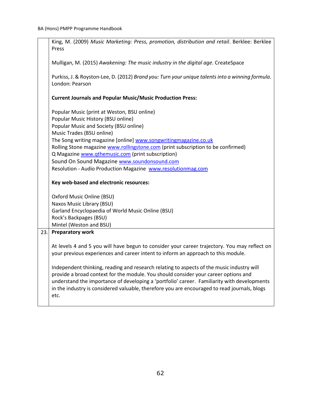|     | King, M. (2009) Music Marketing: Press, promotion, distribution and retail. Berklee: Berklee<br>Press                                                                                                                                                                                                                                                                                                                                                                                                                            |
|-----|----------------------------------------------------------------------------------------------------------------------------------------------------------------------------------------------------------------------------------------------------------------------------------------------------------------------------------------------------------------------------------------------------------------------------------------------------------------------------------------------------------------------------------|
|     | Mulligan, M. (2015) Awakening: The music industry in the digital age. CreateSpace                                                                                                                                                                                                                                                                                                                                                                                                                                                |
|     | Purkiss, J. & Royston-Lee, D. (2012) Brand you: Turn your unique talents into a winning formula.<br>London: Pearson                                                                                                                                                                                                                                                                                                                                                                                                              |
|     | <b>Current Journals and Popular Music/Music Production Press:</b>                                                                                                                                                                                                                                                                                                                                                                                                                                                                |
|     | Popular Music (print at Weston, BSU online)<br>Popular Music History (BSU online)<br>Popular Music and Society (BSU online)<br>Music Trades (BSU online)<br>The Song writing magazine [online] www.songwritingmagazine.co.uk<br>Rolling Stone magazine www.rollingstone.com (print subscription to be confirmed)<br>Q Magazine www.qthemusic.com (print subscription)<br>Sound On Sound Magazine www.soundonsound.com<br>Resolution - Audio Production Magazine www.resolutionmag.com<br>Key web-based and electronic resources: |
|     |                                                                                                                                                                                                                                                                                                                                                                                                                                                                                                                                  |
|     | Oxford Music Online (BSU)<br>Naxos Music Library (BSU)                                                                                                                                                                                                                                                                                                                                                                                                                                                                           |
|     | Garland Encyclopaedia of World Music Online (BSU)                                                                                                                                                                                                                                                                                                                                                                                                                                                                                |
|     | Rock's Backpages (BSU)                                                                                                                                                                                                                                                                                                                                                                                                                                                                                                           |
| 23. | Mintel (Weston and BSU)<br><b>Preparatory work</b>                                                                                                                                                                                                                                                                                                                                                                                                                                                                               |
|     |                                                                                                                                                                                                                                                                                                                                                                                                                                                                                                                                  |
|     | At levels 4 and 5 you will have begun to consider your career trajectory. You may reflect on<br>your previous experiences and career intent to inform an approach to this module.                                                                                                                                                                                                                                                                                                                                                |
|     | Independent thinking, reading and research relating to aspects of the music industry will<br>provide a broad context for the module. You should consider your career options and<br>understand the importance of developing a 'portfolio' career. Familiarity with developments<br>in the industry is considered valuable, therefore you are encouraged to read journals, blogs<br>etc.                                                                                                                                          |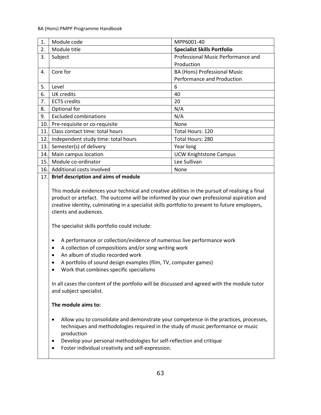| 1.  | Module code                                 | MPP6001-40                         |
|-----|---------------------------------------------|------------------------------------|
| 2.  | Module title                                | <b>Specialist Skills Portfolio</b> |
| 3.  | Subject                                     | Professional Music Performance and |
|     |                                             | Production                         |
| 4.  | Core for                                    | BA (Hons) Professional Music       |
|     |                                             | Performance and Production         |
| 5.  | Level                                       | 6                                  |
| 6.  | <b>UK</b> credits                           | 40                                 |
| 7.  | <b>ECTS</b> credits                         | 20                                 |
| 8.  | Optional for                                | N/A                                |
| 9.  | <b>Excluded combinations</b>                | N/A                                |
| 10. | Pre-requisite or co-requisite               | None                               |
| 11. | Class contact time: total hours             | Total Hours: 120                   |
| 12. | Independent study time: total hours         | Total Hours: 280                   |
| 13. | Semester(s) of delivery                     | Year long                          |
| 14. | Main campus location                        | <b>UCW Knightstone Campus</b>      |
| 15. | Module co-ordinator                         | Lee Sullivan                       |
| 16. | Additional costs involved                   | None                               |
| 17. | <b>Brief description and aims of module</b> |                                    |

## This module evidences your technical and creative abilities in the pursuit of realising a final product or artefact. The outcome will be informed by your own professional aspiration and creative identity, culminating in a specialist skills portfolio to present to future employers, clients and audiences.

The specialist skills portfolio could include:

- A performance or collection/evidence of numerous live performance work
- A collection of compositions and/or song writing work
- An album of studio recorded work
- A portfolio of sound design examples (film, TV, computer games)
- Work that combines specific specialisms

In all cases the content of the portfolio will be discussed and agreed with the module tutor and subject specialist.

### **The module aims to:**

- Allow you to consolidate and demonstrate your competence in the practices, processes, techniques and methodologies required in the study of music performance or music production
- Develop your personal methodologies for self-reflection and critique
- Foster individual creativity and self-expression.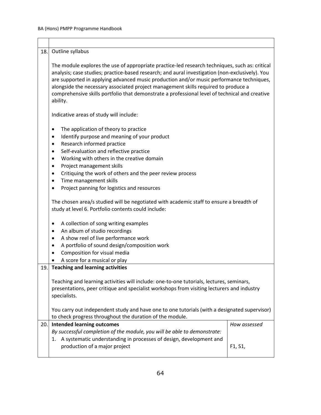| 18. | Outline syllabus                                                                                                                                                                                                                                                                                                                                                                                                                                                                                                                                                                                                                                                                                                                                                                                                                                                             |                                   |
|-----|------------------------------------------------------------------------------------------------------------------------------------------------------------------------------------------------------------------------------------------------------------------------------------------------------------------------------------------------------------------------------------------------------------------------------------------------------------------------------------------------------------------------------------------------------------------------------------------------------------------------------------------------------------------------------------------------------------------------------------------------------------------------------------------------------------------------------------------------------------------------------|-----------------------------------|
|     | The module explores the use of appropriate practice-led research techniques, such as: critical<br>analysis; case studies; practice-based research; and aural investigation (non-exclusively). You<br>are supported in applying advanced music production and/or music performance techniques,<br>alongside the necessary associated project management skills required to produce a<br>comprehensive skills portfolio that demonstrate a professional level of technical and creative<br>ability.                                                                                                                                                                                                                                                                                                                                                                            |                                   |
|     | Indicative areas of study will include:                                                                                                                                                                                                                                                                                                                                                                                                                                                                                                                                                                                                                                                                                                                                                                                                                                      |                                   |
|     | The application of theory to practice<br>٠<br>Identify purpose and meaning of your product<br>$\bullet$<br>Research informed practice<br>٠<br>Self-evaluation and reflective practice<br>$\bullet$<br>Working with others in the creative domain<br>$\bullet$<br>Project management skills<br>$\bullet$<br>Critiquing the work of others and the peer review process<br>$\bullet$<br>Time management skills<br>$\bullet$<br>Project panning for logistics and resources<br>The chosen area/s studied will be negotiated with academic staff to ensure a breadth of<br>study at level 6. Portfolio contents could include:<br>A collection of song writing examples<br>٠<br>An album of studio recordings<br>$\bullet$<br>A show reel of live performance work<br>٠<br>A portfolio of sound design/composition work<br>$\bullet$<br>Composition for visual media<br>$\bullet$ |                                   |
|     | A score for a musical or play<br><b>Teaching and learning activities</b>                                                                                                                                                                                                                                                                                                                                                                                                                                                                                                                                                                                                                                                                                                                                                                                                     |                                   |
| 19. |                                                                                                                                                                                                                                                                                                                                                                                                                                                                                                                                                                                                                                                                                                                                                                                                                                                                              |                                   |
|     | Teaching and learning activities will include: one-to-one tutorials, lectures, seminars,<br>presentations, peer critique and specialist workshops from visiting lecturers and industry<br>specialists.                                                                                                                                                                                                                                                                                                                                                                                                                                                                                                                                                                                                                                                                       |                                   |
|     | You carry out independent study and have one to one tutorials (with a designated supervisor)<br>to check progress throughout the duration of the module.                                                                                                                                                                                                                                                                                                                                                                                                                                                                                                                                                                                                                                                                                                                     |                                   |
| 20. | <b>Intended learning outcomes</b><br>By successful completion of the module, you will be able to demonstrate:                                                                                                                                                                                                                                                                                                                                                                                                                                                                                                                                                                                                                                                                                                                                                                | How assessed                      |
|     | A systematic understanding in processes of design, development and<br>1.<br>production of a major project                                                                                                                                                                                                                                                                                                                                                                                                                                                                                                                                                                                                                                                                                                                                                                    | F <sub>1</sub> , S <sub>1</sub> , |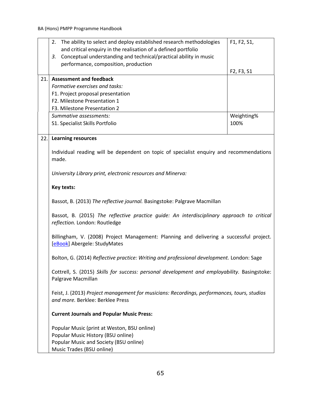|     | The ability to select and deploy established research methodologies<br>2.                                                       | F1, F2, S1, |
|-----|---------------------------------------------------------------------------------------------------------------------------------|-------------|
|     | and critical enquiry in the realisation of a defined portfolio                                                                  |             |
|     | Conceptual understanding and technical/practical ability in music<br>3.                                                         |             |
|     | performance, composition, production                                                                                            |             |
|     |                                                                                                                                 | F2, F3, S1  |
| 21. | <b>Assessment and feedback</b>                                                                                                  |             |
|     | Formative exercises and tasks:                                                                                                  |             |
|     | F1. Project proposal presentation                                                                                               |             |
|     | F2. Milestone Presentation 1                                                                                                    |             |
|     | F3. Milestone Presentation 2                                                                                                    |             |
|     | Summative assessments:                                                                                                          | Weighting%  |
|     | S1. Specialist Skills Portfolio                                                                                                 | 100%        |
|     |                                                                                                                                 |             |
| 22. | <b>Learning resources</b>                                                                                                       |             |
|     | Individual reading will be dependent on topic of specialist enquiry and recommendations                                         |             |
|     | made.                                                                                                                           |             |
|     | University Library print, electronic resources and Minerva:                                                                     |             |
|     | Key texts:                                                                                                                      |             |
|     | Bassot, B. (2013) The reflective journal. Basingstoke: Palgrave Macmillan                                                       |             |
|     | Bassot, B. (2015) The reflective practice guide: An interdisciplinary approach to critical<br>reflection. London: Routledge     |             |
|     | Billingham, V. (2008) Project Management: Planning and delivering a successful project.<br>[eBook] Abergele: StudyMates         |             |
|     | Bolton, G. (2014) Reflective practice: Writing and professional development. London: Sage                                       |             |
|     | Cottrell, S. (2015) Skills for success: personal development and employability. Basingstoke:<br>Palgrave Macmillan              |             |
|     | Feist, J. (2013) Project management for musicians: Recordings, performances, tours, studios<br>and more. Berklee: Berklee Press |             |
|     | <b>Current Journals and Popular Music Press:</b>                                                                                |             |
|     | Popular Music (print at Weston, BSU online)                                                                                     |             |
|     | Popular Music History (BSU online)                                                                                              |             |
|     | Popular Music and Society (BSU online)                                                                                          |             |
|     | Music Trades (BSU online)                                                                                                       |             |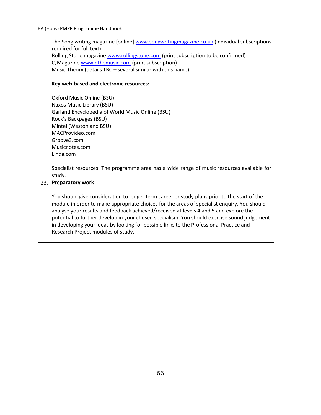|     | The Song writing magazine [online] www.songwritingmagazine.co.uk (individual subscriptions           |
|-----|------------------------------------------------------------------------------------------------------|
|     | required for full text)                                                                              |
|     | Rolling Stone magazine www.rollingstone.com (print subscription to be confirmed)                     |
|     | Q Magazine www.qthemusic.com (print subscription)                                                    |
|     | Music Theory (details TBC - several similar with this name)                                          |
|     | Key web-based and electronic resources:                                                              |
|     | Oxford Music Online (BSU)                                                                            |
|     | Naxos Music Library (BSU)                                                                            |
|     | Garland Encyclopedia of World Music Online (BSU)                                                     |
|     | Rock's Backpages (BSU)                                                                               |
|     | Mintel (Weston and BSU)                                                                              |
|     | MACProvideo.com                                                                                      |
|     | Groove3.com                                                                                          |
|     | Musicnotes.com                                                                                       |
|     | Linda.com                                                                                            |
|     |                                                                                                      |
|     | Specialist resources: The programme area has a wide range of music resources available for<br>study. |
| 23. | <b>Preparatory work</b>                                                                              |
|     |                                                                                                      |
|     | You should give consideration to longer term career or study plans prior to the start of the         |
|     | module in order to make appropriate choices for the areas of specialist enquiry. You should          |
|     | analyse your results and feedback achieved/received at levels 4 and 5 and explore the                |
|     | potential to further develop in your chosen specialism. You should exercise sound judgement          |
|     | in developing your ideas by looking for possible links to the Professional Practice and              |
|     | Research Project modules of study.                                                                   |
|     |                                                                                                      |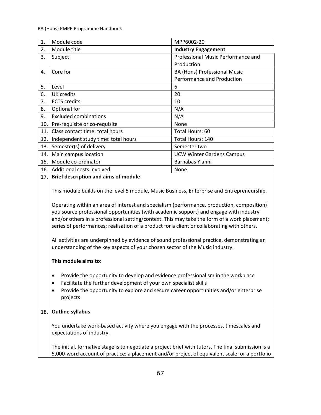| 1.  | Module code                                                                                                                                                                                                                                                                                                                                                                                                                                                                                                                                                                                                                                                                                                                                                                                                                                                                                                                                                          | MPP6002-20                         |
|-----|----------------------------------------------------------------------------------------------------------------------------------------------------------------------------------------------------------------------------------------------------------------------------------------------------------------------------------------------------------------------------------------------------------------------------------------------------------------------------------------------------------------------------------------------------------------------------------------------------------------------------------------------------------------------------------------------------------------------------------------------------------------------------------------------------------------------------------------------------------------------------------------------------------------------------------------------------------------------|------------------------------------|
| 2.  | Module title                                                                                                                                                                                                                                                                                                                                                                                                                                                                                                                                                                                                                                                                                                                                                                                                                                                                                                                                                         | <b>Industry Engagement</b>         |
| 3.  | Subject                                                                                                                                                                                                                                                                                                                                                                                                                                                                                                                                                                                                                                                                                                                                                                                                                                                                                                                                                              | Professional Music Performance and |
|     |                                                                                                                                                                                                                                                                                                                                                                                                                                                                                                                                                                                                                                                                                                                                                                                                                                                                                                                                                                      | Production                         |
| 4.  | Core for                                                                                                                                                                                                                                                                                                                                                                                                                                                                                                                                                                                                                                                                                                                                                                                                                                                                                                                                                             | BA (Hons) Professional Music       |
|     |                                                                                                                                                                                                                                                                                                                                                                                                                                                                                                                                                                                                                                                                                                                                                                                                                                                                                                                                                                      | Performance and Production         |
| 5.  | Level                                                                                                                                                                                                                                                                                                                                                                                                                                                                                                                                                                                                                                                                                                                                                                                                                                                                                                                                                                | 6                                  |
| 6.  | <b>UK</b> credits                                                                                                                                                                                                                                                                                                                                                                                                                                                                                                                                                                                                                                                                                                                                                                                                                                                                                                                                                    | 20                                 |
| 7.  | <b>ECTS</b> credits                                                                                                                                                                                                                                                                                                                                                                                                                                                                                                                                                                                                                                                                                                                                                                                                                                                                                                                                                  | 10                                 |
| 8.  | Optional for                                                                                                                                                                                                                                                                                                                                                                                                                                                                                                                                                                                                                                                                                                                                                                                                                                                                                                                                                         | N/A                                |
| 9.  | <b>Excluded combinations</b>                                                                                                                                                                                                                                                                                                                                                                                                                                                                                                                                                                                                                                                                                                                                                                                                                                                                                                                                         | N/A                                |
| 10. | Pre-requisite or co-requisite                                                                                                                                                                                                                                                                                                                                                                                                                                                                                                                                                                                                                                                                                                                                                                                                                                                                                                                                        | None                               |
| 11. | Class contact time: total hours                                                                                                                                                                                                                                                                                                                                                                                                                                                                                                                                                                                                                                                                                                                                                                                                                                                                                                                                      | Total Hours: 60                    |
| 12. | Independent study time: total hours                                                                                                                                                                                                                                                                                                                                                                                                                                                                                                                                                                                                                                                                                                                                                                                                                                                                                                                                  | Total Hours: 140                   |
| 13. | Semester(s) of delivery                                                                                                                                                                                                                                                                                                                                                                                                                                                                                                                                                                                                                                                                                                                                                                                                                                                                                                                                              | Semester two                       |
| 14. | Main campus location                                                                                                                                                                                                                                                                                                                                                                                                                                                                                                                                                                                                                                                                                                                                                                                                                                                                                                                                                 | <b>UCW Winter Gardens Campus</b>   |
| 15. | Module co-ordinator                                                                                                                                                                                                                                                                                                                                                                                                                                                                                                                                                                                                                                                                                                                                                                                                                                                                                                                                                  | Barnabas Yianni                    |
| 16. | Additional costs involved                                                                                                                                                                                                                                                                                                                                                                                                                                                                                                                                                                                                                                                                                                                                                                                                                                                                                                                                            | None                               |
| 17. | <b>Brief description and aims of module</b>                                                                                                                                                                                                                                                                                                                                                                                                                                                                                                                                                                                                                                                                                                                                                                                                                                                                                                                          |                                    |
|     | This module builds on the level 5 module, Music Business, Enterprise and Entrepreneurship.<br>Operating within an area of interest and specialism (performance, production, composition)<br>you source professional opportunities (with academic support) and engage with industry<br>and/or others in a professional setting/context. This may take the form of a work placement;<br>series of performances; realisation of a product for a client or collaborating with others.<br>All activities are underpinned by evidence of sound professional practice, demonstrating an<br>understanding of the key aspects of your chosen sector of the Music industry.<br>This module aims to:<br>Provide the opportunity to develop and evidence professionalism in the workplace<br>٠<br>Facilitate the further development of your own specialist skills<br>٠<br>Provide the opportunity to explore and secure career opportunities and/or enterprise<br>٠<br>projects |                                    |
| 18. | <b>Outline syllabus</b>                                                                                                                                                                                                                                                                                                                                                                                                                                                                                                                                                                                                                                                                                                                                                                                                                                                                                                                                              |                                    |
|     | You undertake work-based activity where you engage with the processes, timescales and<br>expectations of industry.                                                                                                                                                                                                                                                                                                                                                                                                                                                                                                                                                                                                                                                                                                                                                                                                                                                   |                                    |
|     | The initial, formative stage is to negotiate a project brief with tutors. The final submission is a                                                                                                                                                                                                                                                                                                                                                                                                                                                                                                                                                                                                                                                                                                                                                                                                                                                                  |                                    |
|     | 5,000-word account of practice; a placement and/or project of equivalent scale; or a portfolio                                                                                                                                                                                                                                                                                                                                                                                                                                                                                                                                                                                                                                                                                                                                                                                                                                                                       |                                    |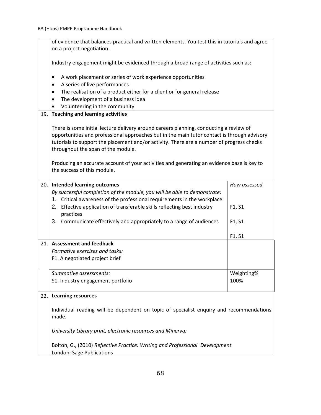|      | of evidence that balances practical and written elements. You test this in tutorials and agree                                                                                                                                                                                                                           |              |
|------|--------------------------------------------------------------------------------------------------------------------------------------------------------------------------------------------------------------------------------------------------------------------------------------------------------------------------|--------------|
|      | on a project negotiation.                                                                                                                                                                                                                                                                                                |              |
|      | Industry engagement might be evidenced through a broad range of activities such as:                                                                                                                                                                                                                                      |              |
|      | A work placement or series of work experience opportunities<br>$\bullet$                                                                                                                                                                                                                                                 |              |
|      | A series of live performances<br>$\bullet$                                                                                                                                                                                                                                                                               |              |
|      | The realisation of a product either for a client or for general release<br>٠                                                                                                                                                                                                                                             |              |
|      | The development of a business idea<br>$\bullet$                                                                                                                                                                                                                                                                          |              |
|      | Volunteering in the community                                                                                                                                                                                                                                                                                            |              |
| 19.  | <b>Teaching and learning activities</b>                                                                                                                                                                                                                                                                                  |              |
|      | There is some initial lecture delivery around careers planning, conducting a review of<br>opportunities and professional approaches but in the main tutor contact is through advisory<br>tutorials to support the placement and/or activity. There are a number of progress checks<br>throughout the span of the module. |              |
|      | Producing an accurate account of your activities and generating an evidence base is key to<br>the success of this module.                                                                                                                                                                                                |              |
| 20.1 | <b>Intended learning outcomes</b>                                                                                                                                                                                                                                                                                        | How assessed |
|      | By successful completion of the module, you will be able to demonstrate:                                                                                                                                                                                                                                                 |              |
|      | 1. Critical awareness of the professional requirements in the workplace                                                                                                                                                                                                                                                  |              |
|      | 2. Effective application of transferable skills reflecting best industry<br>practices                                                                                                                                                                                                                                    | F1, S1       |
|      | 3. Communicate effectively and appropriately to a range of audiences                                                                                                                                                                                                                                                     | F1, S1       |
|      |                                                                                                                                                                                                                                                                                                                          | F1, S1       |
| 21.  | <b>Assessment and feedback</b>                                                                                                                                                                                                                                                                                           |              |
|      | Formative exercises and tasks:                                                                                                                                                                                                                                                                                           |              |
|      | F1. A negotiated project brief                                                                                                                                                                                                                                                                                           |              |
|      | Summative assessments:                                                                                                                                                                                                                                                                                                   | Weighting%   |
|      | S1. Industry engagement portfolio                                                                                                                                                                                                                                                                                        | 100%         |
| 22.  | <b>Learning resources</b>                                                                                                                                                                                                                                                                                                |              |
|      | Individual reading will be dependent on topic of specialist enquiry and recommendations<br>made.                                                                                                                                                                                                                         |              |
|      | University Library print, electronic resources and Minerva:                                                                                                                                                                                                                                                              |              |
|      | Bolton, G., (2010) Reflective Practice: Writing and Professional Development<br>London: Sage Publications                                                                                                                                                                                                                |              |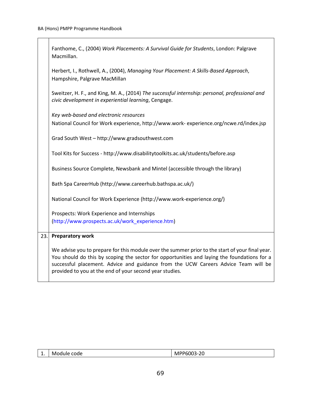|     | Fanthome, C., (2004) Work Placements: A Survival Guide for Students, London: Palgrave<br>Macmillan.                                                                                                                                                                                                                                             |
|-----|-------------------------------------------------------------------------------------------------------------------------------------------------------------------------------------------------------------------------------------------------------------------------------------------------------------------------------------------------|
|     | Herbert, I., Rothwell, A., (2004), Managing Your Placement: A Skills-Based Approach,<br>Hampshire, Palgrave MacMillan                                                                                                                                                                                                                           |
|     | Sweitzer, H. F., and King, M. A., (2014) The successful internship: personal, professional and<br>civic development in experiential learning, Cengage.                                                                                                                                                                                          |
|     | Key web-based and electronic resources<br>National Council for Work experience, http://www.work-experience.org/ncwe.rd/index.jsp                                                                                                                                                                                                                |
|     | Grad South West - http://www.gradsouthwest.com                                                                                                                                                                                                                                                                                                  |
|     | Tool Kits for Success - http://www.disabilitytoolkits.ac.uk/students/before.asp                                                                                                                                                                                                                                                                 |
|     | Business Source Complete, Newsbank and Mintel (accessible through the library)                                                                                                                                                                                                                                                                  |
|     | Bath Spa CareerHub (http://www.careerhub.bathspa.ac.uk/)                                                                                                                                                                                                                                                                                        |
|     | National Council for Work Experience (http://www.work-experience.org/)                                                                                                                                                                                                                                                                          |
|     | Prospects: Work Experience and Internships<br>(http://www.prospects.ac.uk/work_experience.htm)                                                                                                                                                                                                                                                  |
| 23. | <b>Preparatory work</b>                                                                                                                                                                                                                                                                                                                         |
|     | We advise you to prepare for this module over the summer prior to the start of your final year.<br>You should do this by scoping the sector for opportunities and laying the foundations for a<br>successful placement. Advice and guidance from the UCW Careers Advice Team will be<br>provided to you at the end of your second year studies. |

| -- | Module<br>code | -20<br>MPP6003<br>. |
|----|----------------|---------------------|
|    |                |                     |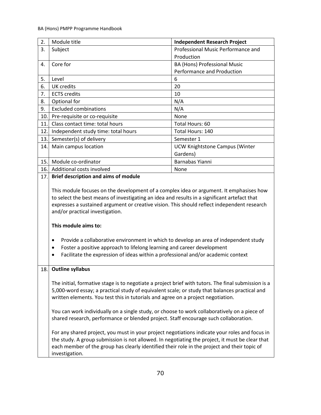| 3.<br>4.<br>5.<br>6.<br>7.<br>8.<br>9. | Subject<br>Core for<br>Level                                                                                                                                                                                                                                                                                                                                                                                                                                                                                                                                                                                                                                                                                                                                                          | Professional Music Performance and<br>Production<br><b>BA (Hons) Professional Music</b><br>Performance and Production |
|----------------------------------------|---------------------------------------------------------------------------------------------------------------------------------------------------------------------------------------------------------------------------------------------------------------------------------------------------------------------------------------------------------------------------------------------------------------------------------------------------------------------------------------------------------------------------------------------------------------------------------------------------------------------------------------------------------------------------------------------------------------------------------------------------------------------------------------|-----------------------------------------------------------------------------------------------------------------------|
|                                        |                                                                                                                                                                                                                                                                                                                                                                                                                                                                                                                                                                                                                                                                                                                                                                                       |                                                                                                                       |
|                                        |                                                                                                                                                                                                                                                                                                                                                                                                                                                                                                                                                                                                                                                                                                                                                                                       |                                                                                                                       |
|                                        |                                                                                                                                                                                                                                                                                                                                                                                                                                                                                                                                                                                                                                                                                                                                                                                       |                                                                                                                       |
|                                        |                                                                                                                                                                                                                                                                                                                                                                                                                                                                                                                                                                                                                                                                                                                                                                                       |                                                                                                                       |
|                                        |                                                                                                                                                                                                                                                                                                                                                                                                                                                                                                                                                                                                                                                                                                                                                                                       | 6                                                                                                                     |
|                                        | <b>UK</b> credits                                                                                                                                                                                                                                                                                                                                                                                                                                                                                                                                                                                                                                                                                                                                                                     | 20                                                                                                                    |
|                                        | <b>ECTS</b> credits                                                                                                                                                                                                                                                                                                                                                                                                                                                                                                                                                                                                                                                                                                                                                                   | 10                                                                                                                    |
|                                        | Optional for                                                                                                                                                                                                                                                                                                                                                                                                                                                                                                                                                                                                                                                                                                                                                                          | N/A                                                                                                                   |
|                                        | <b>Excluded combinations</b>                                                                                                                                                                                                                                                                                                                                                                                                                                                                                                                                                                                                                                                                                                                                                          | N/A                                                                                                                   |
| 10.                                    | Pre-requisite or co-requisite                                                                                                                                                                                                                                                                                                                                                                                                                                                                                                                                                                                                                                                                                                                                                         | None                                                                                                                  |
| 11.                                    | Class contact time: total hours                                                                                                                                                                                                                                                                                                                                                                                                                                                                                                                                                                                                                                                                                                                                                       | Total Hours: 60                                                                                                       |
| 12.                                    | Independent study time: total hours                                                                                                                                                                                                                                                                                                                                                                                                                                                                                                                                                                                                                                                                                                                                                   | Total Hours: 140                                                                                                      |
| 13.                                    | Semester(s) of delivery                                                                                                                                                                                                                                                                                                                                                                                                                                                                                                                                                                                                                                                                                                                                                               | Semester 1                                                                                                            |
| 14.                                    | Main campus location                                                                                                                                                                                                                                                                                                                                                                                                                                                                                                                                                                                                                                                                                                                                                                  | <b>UCW Knightstone Campus (Winter</b>                                                                                 |
|                                        |                                                                                                                                                                                                                                                                                                                                                                                                                                                                                                                                                                                                                                                                                                                                                                                       | Gardens)                                                                                                              |
| 15.                                    | Module co-ordinator                                                                                                                                                                                                                                                                                                                                                                                                                                                                                                                                                                                                                                                                                                                                                                   | Barnabas Yianni                                                                                                       |
| 16.                                    | Additional costs involved                                                                                                                                                                                                                                                                                                                                                                                                                                                                                                                                                                                                                                                                                                                                                             | None                                                                                                                  |
| 17.                                    | <b>Brief description and aims of module</b>                                                                                                                                                                                                                                                                                                                                                                                                                                                                                                                                                                                                                                                                                                                                           |                                                                                                                       |
|                                        | This module focuses on the development of a complex idea or argument. It emphasises how<br>to select the best means of investigating an idea and results in a significant artefact that<br>expresses a sustained argument or creative vision. This should reflect independent research<br>and/or practical investigation.<br>This module aims to:<br>Provide a collaborative environment in which to develop an area of independent study<br>$\bullet$<br>Foster a positive approach to lifelong learning and career development<br>$\bullet$<br>Facilitate the expression of ideas within a professional and/or academic context<br>$\bullet$                                                                                                                                        |                                                                                                                       |
| 18.                                    | <b>Outline syllabus</b>                                                                                                                                                                                                                                                                                                                                                                                                                                                                                                                                                                                                                                                                                                                                                               |                                                                                                                       |
|                                        | The initial, formative stage is to negotiate a project brief with tutors. The final submission is a<br>5,000-word essay; a practical study of equivalent scale; or study that balances practical and<br>written elements. You test this in tutorials and agree on a project negotiation.<br>You can work individually on a single study, or choose to work collaboratively on a piece of<br>shared research, performance or blended project. Staff encourage such collaboration.<br>For any shared project, you must in your project negotiations indicate your roles and focus in<br>the study. A group submission is not allowed. In negotiating the project, it must be clear that<br>each member of the group has clearly identified their role in the project and their topic of |                                                                                                                       |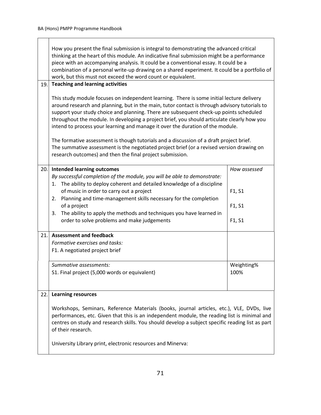|     | How you present the final submission is integral to demonstrating the advanced critical<br>thinking at the heart of this module. An indicative final submission might be a performance<br>piece with an accompanying analysis. It could be a conventional essay. It could be a<br>combination of a personal write-up drawing on a shared experiment. It could be a portfolio of<br>work, but this must not exceed the word count or equivalent.                                                                                                                                                                                                                                                                            |                            |
|-----|----------------------------------------------------------------------------------------------------------------------------------------------------------------------------------------------------------------------------------------------------------------------------------------------------------------------------------------------------------------------------------------------------------------------------------------------------------------------------------------------------------------------------------------------------------------------------------------------------------------------------------------------------------------------------------------------------------------------------|----------------------------|
| 19. | <b>Teaching and learning activities</b>                                                                                                                                                                                                                                                                                                                                                                                                                                                                                                                                                                                                                                                                                    |                            |
|     | This study module focuses on independent learning. There is some initial lecture delivery<br>around research and planning, but in the main, tutor contact is through advisory tutorials to<br>support your study choice and planning. There are subsequent check-up points scheduled<br>throughout the module. In developing a project brief, you should articulate clearly how you<br>intend to process your learning and manage it over the duration of the module.<br>The formative assessment is though tutorials and a discussion of a draft project brief.<br>The summative assessment is the negotiated project brief (or a revised version drawing on<br>research outcomes) and then the final project submission. |                            |
| 20. | <b>Intended learning outcomes</b>                                                                                                                                                                                                                                                                                                                                                                                                                                                                                                                                                                                                                                                                                          | How assessed               |
|     | By successful completion of the module, you will be able to demonstrate:<br>The ability to deploy coherent and detailed knowledge of a discipline<br>1.<br>of music in order to carry out a project<br>Planning and time-management skills necessary for the completion<br>2.<br>of a project<br>The ability to apply the methods and techniques you have learned in<br>3.<br>order to solve problems and make judgements                                                                                                                                                                                                                                                                                                  | F1, S1<br>F1, S1<br>F1, S1 |
| 21. | <b>Assessment and feedback</b>                                                                                                                                                                                                                                                                                                                                                                                                                                                                                                                                                                                                                                                                                             |                            |
|     | Formative exercises and tasks:                                                                                                                                                                                                                                                                                                                                                                                                                                                                                                                                                                                                                                                                                             |                            |
|     | F1. A negotiated project brief                                                                                                                                                                                                                                                                                                                                                                                                                                                                                                                                                                                                                                                                                             |                            |
|     | Summative assessments:<br>S1. Final project (5,000 words or equivalent)                                                                                                                                                                                                                                                                                                                                                                                                                                                                                                                                                                                                                                                    | Weighting%<br>100%         |
| 22. | <b>Learning resources</b>                                                                                                                                                                                                                                                                                                                                                                                                                                                                                                                                                                                                                                                                                                  |                            |
|     | Workshops, Seminars, Reference Materials (books, journal articles, etc.), VLE, DVDs, live<br>performances, etc. Given that this is an independent module, the reading list is minimal and<br>centres on study and research skills. You should develop a subject specific reading list as part<br>of their research.<br>University Library print, electronic resources and Minerva:                                                                                                                                                                                                                                                                                                                                         |                            |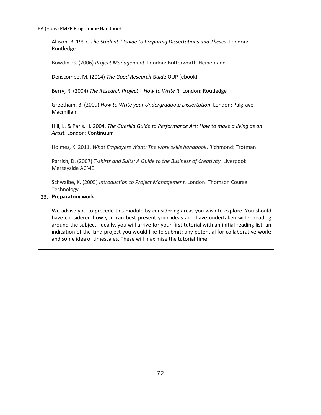|     | Allison, B. 1997. The Students' Guide to Preparing Dissertations and Theses. London:<br>Routledge                                                                                                                                                                                                                                                                                                                                                                    |
|-----|----------------------------------------------------------------------------------------------------------------------------------------------------------------------------------------------------------------------------------------------------------------------------------------------------------------------------------------------------------------------------------------------------------------------------------------------------------------------|
|     | Bowdin, G. (2006) Project Management. London: Butterworth-Heinemann                                                                                                                                                                                                                                                                                                                                                                                                  |
|     | Denscombe, M. (2014) The Good Research Guide OUP (ebook)                                                                                                                                                                                                                                                                                                                                                                                                             |
|     | Berry, R. (2004) The Research Project - How to Write It. London: Routledge                                                                                                                                                                                                                                                                                                                                                                                           |
|     | Greetham, B. (2009) How to Write your Undergraduate Dissertation. London: Palgrave<br>Macmillan                                                                                                                                                                                                                                                                                                                                                                      |
|     | Hill, L. & Paris, H. 2004. The Guerilla Guide to Performance Art: How to make a living as an<br>Artist. London: Continuum                                                                                                                                                                                                                                                                                                                                            |
|     | Holmes, K. 2011. What Employers Want: The work skills handbook. Richmond: Trotman                                                                                                                                                                                                                                                                                                                                                                                    |
|     | Parrish, D. (2007) T-shirts and Suits: A Guide to the Business of Creativity. Liverpool:<br>Merseyside ACME                                                                                                                                                                                                                                                                                                                                                          |
|     | Schwalbe, K. (2005) Introduction to Project Management. London: Thomson Course<br>Technology                                                                                                                                                                                                                                                                                                                                                                         |
| 23. | <b>Preparatory work</b>                                                                                                                                                                                                                                                                                                                                                                                                                                              |
|     | We advise you to precede this module by considering areas you wish to explore. You should<br>have considered how you can best present your ideas and have undertaken wider reading<br>around the subject. Ideally, you will arrive for your first tutorial with an initial reading list; an<br>indication of the kind project you would like to submit; any potential for collaborative work;<br>and some idea of timescales. These will maximise the tutorial time. |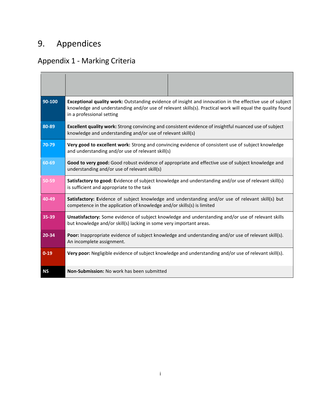## 9. Appendices

## Appendix 1 - Marking Criteria

| 90-100    | Exceptional quality work: Outstanding evidence of insight and innovation in the effective use of subject<br>knowledge and understanding and/or use of relevant skills(s). Practical work will equal the quality found<br>in a professional setting |
|-----------|----------------------------------------------------------------------------------------------------------------------------------------------------------------------------------------------------------------------------------------------------|
| 80-89     | Excellent quality work: Strong convincing and consistent evidence of insightful nuanced use of subject<br>knowledge and understanding and/or use of relevant skill(s)                                                                              |
| 70-79     | Very good to excellent work: Strong and convincing evidence of consistent use of subject knowledge<br>and understanding and/or use of relevant skill(s)                                                                                            |
| 60-69     | Good to very good: Good robust evidence of appropriate and effective use of subject knowledge and<br>understanding and/or use of relevant skill(s)                                                                                                 |
| 50-59     | Satisfactory to good: Evidence of subject knowledge and understanding and/or use of relevant skill(s)<br>is sufficient and appropriate to the task                                                                                                 |
| $40 - 49$ | Satisfactory: Evidence of subject knowledge and understanding and/or use of relevant skill(s) but<br>competence in the application of knowledge and/or skills(s) is limited                                                                        |
| 35-39     | <b>Unsatisfactory:</b> Some evidence of subject knowledge and understanding and/or use of relevant skills<br>but knowledge and/or skill(s) lacking in some very important areas.                                                                   |
| $20 - 34$ | Poor: Inappropriate evidence of subject knowledge and understanding and/or use of relevant skill(s).<br>An incomplete assignment.                                                                                                                  |
| $0 - 19$  | Very poor: Negligible evidence of subject knowledge and understanding and/or use of relevant skill(s).                                                                                                                                             |
| <b>NS</b> | Non-Submission: No work has been submitted                                                                                                                                                                                                         |